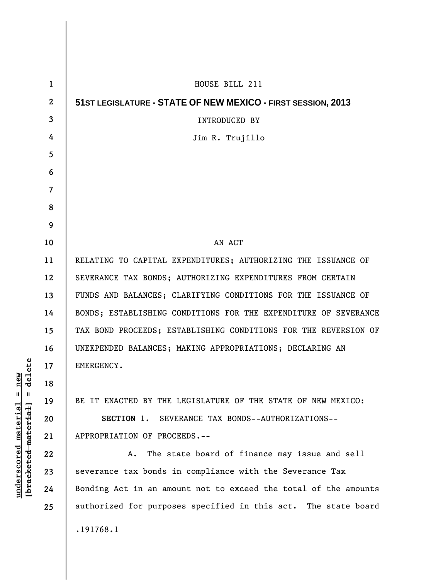| 1            | HOUSE BILL 211                                                  |
|--------------|-----------------------------------------------------------------|
| $\mathbf{2}$ | 51ST LEGISLATURE - STATE OF NEW MEXICO - FIRST SESSION, 2013    |
| 3            | <b>INTRODUCED BY</b>                                            |
| 4            | Jim R. Trujillo                                                 |
| 5            |                                                                 |
| 6            |                                                                 |
| 7            |                                                                 |
| 8            |                                                                 |
| 9            |                                                                 |
| 10           | AN ACT                                                          |
| 11           | RELATING TO CAPITAL EXPENDITURES; AUTHORIZING THE ISSUANCE OF   |
| 12           | SEVERANCE TAX BONDS; AUTHORIZING EXPENDITURES FROM CERTAIN      |
| 13           | FUNDS AND BALANCES; CLARIFYING CONDITIONS FOR THE ISSUANCE OF   |
| 14           | BONDS; ESTABLISHING CONDITIONS FOR THE EXPENDITURE OF SEVERANCE |
| 15           | TAX BOND PROCEEDS; ESTABLISHING CONDITIONS FOR THE REVERSION OF |
| 16           | UNEXPENDED BALANCES; MAKING APPROPRIATIONS; DECLARING AN        |
| 17           | EMERGENCY.                                                      |
| 18           |                                                                 |
| 19           | BE IT ENACTED BY THE LEGISLATURE OF THE STATE OF NEW MEXICO:    |
| 20           | SECTION 1. SEVERANCE TAX BONDS--AUTHORIZATIONS--                |
| 21           | APPROPRIATION OF PROCEEDS.--                                    |
| 22           | The state board of finance may issue and sell<br>А.             |
| 23           | severance tax bonds in compliance with the Severance Tax        |
| 24           | Bonding Act in an amount not to exceed the total of the amounts |
| 25           | authorized for purposes specified in this act. The state board  |
|              | .191768.1                                                       |
|              |                                                                 |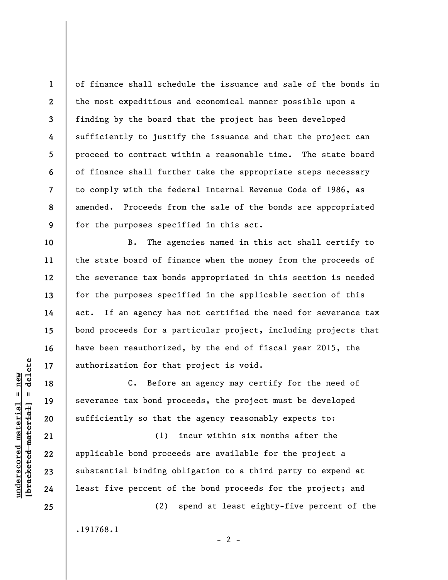of finance shall schedule the issuance and sale of the bonds in the most expeditious and economical manner possible upon a finding by the board that the project has been developed sufficiently to justify the issuance and that the project can proceed to contract within a reasonable time. The state board of finance shall further take the appropriate steps necessary to comply with the federal Internal Revenue Code of 1986, as amended. Proceeds from the sale of the bonds are appropriated for the purposes specified in this act.

B. The agencies named in this act shall certify to the state board of finance when the money from the proceeds of the severance tax bonds appropriated in this section is needed for the purposes specified in the applicable section of this act. If an agency has not certified the need for severance tax bond proceeds for a particular project, including projects that have been reauthorized, by the end of fiscal year 2015, the authorization for that project is void.

C. Before an agency may certify for the need of severance tax bond proceeds, the project must be developed sufficiently so that the agency reasonably expects to:

(1) incur within six months after the applicable bond proceeds are available for the project a substantial binding obligation to a third party to expend at least five percent of the bond proceeds for the project; and

.191768.1

 $- 2 -$ 

(2) spend at least eighty-five percent of the

 $\frac{1}{2}$  of  $\frac{1}{2}$  and  $\frac{1}{2}$  and  $\frac{1}{2}$  and  $\frac{1}{2}$  and  $\frac{1}{2}$  and  $\frac{1}{2}$  and  $\frac{1}{2}$  and  $\frac{1}{2}$  and  $\frac{1}{2}$  and  $\frac{1}{2}$  and  $\frac{1}{2}$  and  $\frac{1}{2}$  and  $\frac{1}{2}$  and  $\frac{1}{2}$  and  $\frac{1}{2}$  an **[bracketed material] = delete**  $underscored material = new$ **underscored material = new**

**1** 

**2** 

**3** 

**4** 

**5** 

**6** 

**7** 

**8** 

**9** 

**10** 

**11** 

**12** 

**13** 

**14** 

**15** 

**16** 

**17** 

**18** 

**19** 

**20** 

**21** 

**22** 

**23** 

**24**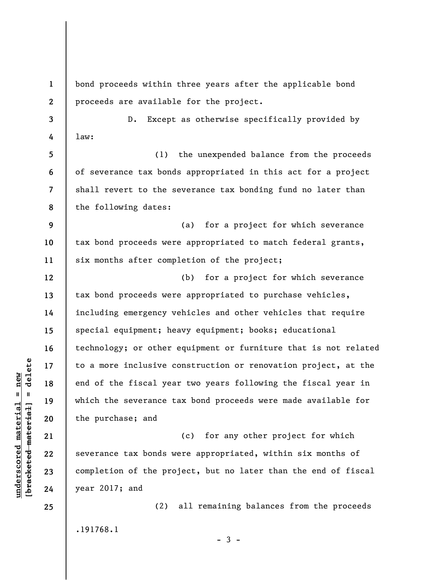**1 2**  bond proceeds within three years after the applicable bond proceeds are available for the project.

D. Except as otherwise specifically provided by law:

**5 6 7 8**  (1) the unexpended balance from the proceeds of severance tax bonds appropriated in this act for a project shall revert to the severance tax bonding fund no later than the following dates:

**9 10 11**  (a) for a project for which severance tax bond proceeds were appropriated to match federal grants, six months after completion of the project;

(b) for a project for which severance tax bond proceeds were appropriated to purchase vehicles, including emergency vehicles and other vehicles that require special equipment; heavy equipment; books; educational technology; or other equipment or furniture that is not related to a more inclusive construction or renovation project, at the end of the fiscal year two years following the fiscal year in which the severance tax bond proceeds were made available for the purchase; and

(c) for any other project for which severance tax bonds were appropriated, within six months of completion of the project, but no later than the end of fiscal year 2017; and

.191768.1

(2) all remaining balances from the proceeds

 $-3 -$ 

 $b$ racketed material] = delete **[bracketed material] = delete**  $underscored material = new$ **underscored material = new**

**3** 

**4** 

**12** 

**13** 

**14** 

**15** 

**16** 

**17** 

**18** 

**19** 

**20** 

**21** 

**22** 

**23** 

**24**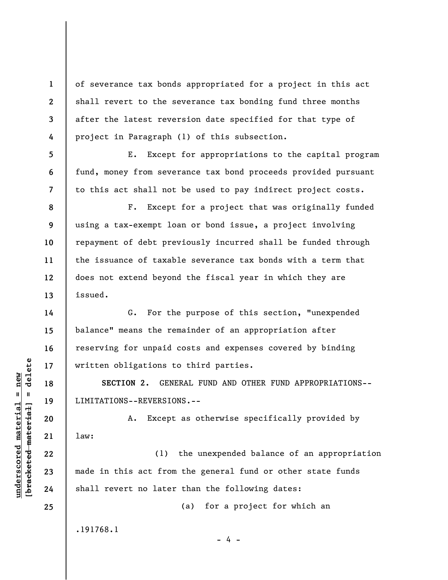of severance tax bonds appropriated for a project in this act shall revert to the severance tax bonding fund three months after the latest reversion date specified for that type of project in Paragraph (1) of this subsection.

E. Except for appropriations to the capital program fund, money from severance tax bond proceeds provided pursuant to this act shall not be used to pay indirect project costs.

F. Except for a project that was originally funded using a tax-exempt loan or bond issue, a project involving repayment of debt previously incurred shall be funded through the issuance of taxable severance tax bonds with a term that does not extend beyond the fiscal year in which they are issued.

G. For the purpose of this section, "unexpended balance" means the remainder of an appropriation after reserving for unpaid costs and expenses covered by binding written obligations to third parties.

**SECTION 2.** GENERAL FUND AND OTHER FUND APPROPRIATIONS-- LIMITATIONS--REVERSIONS.--

A. Except as otherwise specifically provided by law:

(1) the unexpended balance of an appropriation made in this act from the general fund or other state funds shall revert no later than the following dates:

- 4 -

(a) for a project for which an

.191768.1

 $\frac{1}{2}$  intereted material = delete **[bracketed material] = delete**  $underscored material = new$ **underscored material = new**

**1** 

**2** 

**3** 

**4** 

**5** 

**6** 

**7** 

**8** 

**9** 

**10** 

**11** 

**12** 

**13** 

**14** 

**15** 

**16** 

**17** 

**18** 

**19** 

**20** 

**21** 

**22** 

**23** 

**24**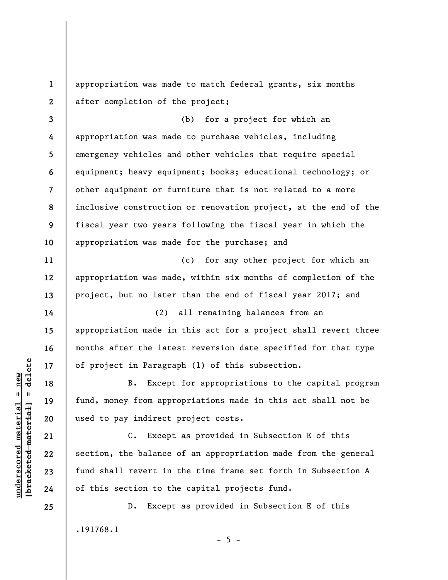appropriation was made to match federal grants, six months after completion of the project;

**3 4 5 6 7 8 9 10**  (b) for a project for which an appropriation was made to purchase vehicles, including emergency vehicles and other vehicles that require special equipment; heavy equipment; books; educational technology; or other equipment or furniture that is not related to a more inclusive construction or renovation project, at the end of the fiscal year two years following the fiscal year in which the appropriation was made for the purchase; and

(c) for any other project for which an appropriation was made, within six months of completion of the project, but no later than the end of fiscal year 2017; and

(2) all remaining balances from an appropriation made in this act for a project shall revert three months after the latest reversion date specified for that type of project in Paragraph (1) of this subsection.

B. Except for appropriations to the capital program fund, money from appropriations made in this act shall not be used to pay indirect project costs.

C. Except as provided in Subsection E of this section, the balance of an appropriation made from the general fund shall revert in the time frame set forth in Subsection A of this section to the capital projects fund.

D. Except as provided in Subsection E of this .191768.1

 $\frac{1}{2}$  of  $\frac{1}{2}$  and  $\frac{1}{2}$  and  $\frac{1}{2}$  and  $\frac{1}{2}$  and  $\frac{1}{2}$  and  $\frac{1}{2}$  and  $\frac{1}{2}$  and  $\frac{1}{2}$  and  $\frac{1}{2}$  and  $\frac{1}{2}$  and  $\frac{1}{2}$  and  $\frac{1}{2}$  and  $\frac{1}{2}$  and  $\frac{1}{2}$  and  $\frac{1}{2}$  an **[bracketed material] = delete**  $underscored material = new$ **underscored material = new**

**1** 

**2** 

**11** 

**12** 

**13** 

**14** 

**15** 

**16** 

**17** 

**18** 

**19** 

**20** 

**21** 

**22** 

**23** 

**24** 

**25** 

 $- 5 -$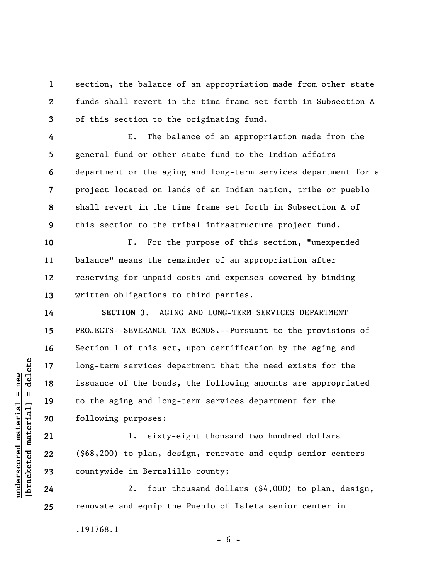section, the balance of an appropriation made from other state funds shall revert in the time frame set forth in Subsection A of this section to the originating fund.

E. The balance of an appropriation made from the general fund or other state fund to the Indian affairs department or the aging and long-term services department for a project located on lands of an Indian nation, tribe or pueblo shall revert in the time frame set forth in Subsection A of this section to the tribal infrastructure project fund.

**12**  F. For the purpose of this section, "unexpended balance" means the remainder of an appropriation after reserving for unpaid costs and expenses covered by binding written obligations to third parties.

**SECTION 3.** AGING AND LONG-TERM SERVICES DEPARTMENT PROJECTS--SEVERANCE TAX BONDS.--Pursuant to the provisions of Section 1 of this act, upon certification by the aging and long-term services department that the need exists for the issuance of the bonds, the following amounts are appropriated to the aging and long-term services department for the following purposes:

1. sixty-eight thousand two hundred dollars (\$68,200) to plan, design, renovate and equip senior centers countywide in Bernalillo county;

2. four thousand dollars (\$4,000) to plan, design, renovate and equip the Pueblo of Isleta senior center in .191768.1

 $- 6 -$ 

 $\frac{1}{2}$  intereted material = delete **[bracketed material] = delete**  $underscored material = new$ **underscored material = new**

**24 25** 

**1** 

**2** 

**3** 

**4** 

**5** 

**6** 

**7** 

**8** 

**9** 

**10** 

**11** 

**13** 

**14** 

**15** 

**16** 

**17** 

**18** 

**19** 

**20** 

**21** 

**22**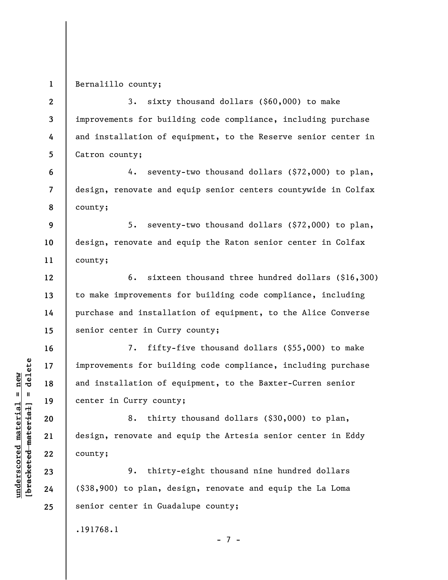**1**  Bernalillo county;

**2 3 4 5 6 7 8 9 10 11 12 13 14 15 16 17 18 19 20 21 22 23 24 25**  3. sixty thousand dollars (\$60,000) to make improvements for building code compliance, including purchase and installation of equipment, to the Reserve senior center in Catron county; 4. seventy-two thousand dollars (\$72,000) to plan, design, renovate and equip senior centers countywide in Colfax county; 5. seventy-two thousand dollars (\$72,000) to plan, design, renovate and equip the Raton senior center in Colfax county; 6. sixteen thousand three hundred dollars (\$16,300) to make improvements for building code compliance, including purchase and installation of equipment, to the Alice Converse senior center in Curry county; 7. fifty-five thousand dollars (\$55,000) to make improvements for building code compliance, including purchase and installation of equipment, to the Baxter-Curren senior center in Curry county; 8. thirty thousand dollars (\$30,000) to plan, design, renovate and equip the Artesia senior center in Eddy county; 9. thirty-eight thousand nine hundred dollars (\$38,900) to plan, design, renovate and equip the La Loma senior center in Guadalupe county;

.191768.1

 $b$ racketed material] = delete **[bracketed material] = delete**  $underscored material = new$ **underscored material = new**

- 7 -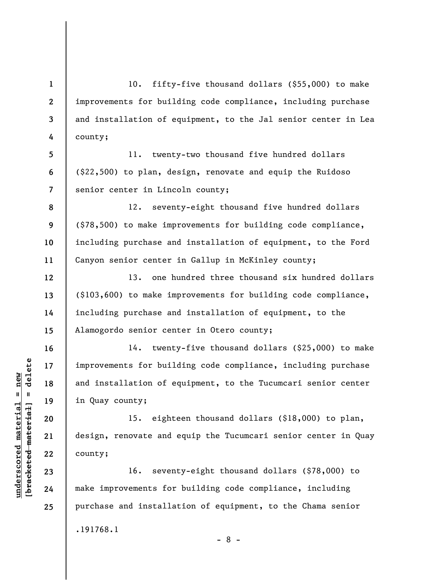10. fifty-five thousand dollars (\$55,000) to make improvements for building code compliance, including purchase and installation of equipment, to the Jal senior center in Lea county;

11. twenty-two thousand five hundred dollars (\$22,500) to plan, design, renovate and equip the Ruidoso senior center in Lincoln county;

12. seventy-eight thousand five hundred dollars (\$78,500) to make improvements for building code compliance, including purchase and installation of equipment, to the Ford Canyon senior center in Gallup in McKinley county;

13. one hundred three thousand six hundred dollars (\$103,600) to make improvements for building code compliance, including purchase and installation of equipment, to the Alamogordo senior center in Otero county;

14. twenty-five thousand dollars (\$25,000) to make improvements for building code compliance, including purchase and installation of equipment, to the Tucumcari senior center in Quay county;

15. eighteen thousand dollars (\$18,000) to plan, design, renovate and equip the Tucumcari senior center in Quay county;

16. seventy-eight thousand dollars (\$78,000) to make improvements for building code compliance, including purchase and installation of equipment, to the Chama senior .191768.1

- 8 -

 $\frac{1}{2}$  intereted material = delete **[bracketed material] = delete**  $underscored$  material = new **underscored material = new**

**1** 

**2** 

**3** 

**4** 

**5** 

**6** 

**7** 

**8** 

**9** 

**10** 

**11** 

**12** 

**13** 

**14** 

**15** 

**16** 

**17** 

**18** 

**19** 

**20** 

**21** 

**22** 

**23** 

**24**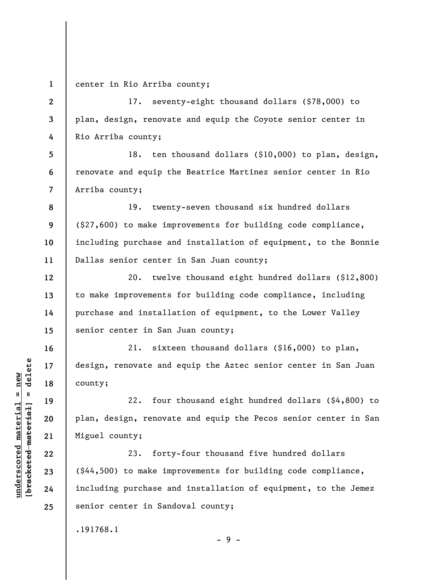**1**  center in Rio Arriba county;

**2** 

**3** 

**4** 

**13** 

**14** 

**15** 

**16** 

**17** 

**18** 

**19** 

**20** 

**21** 

**22** 

**23** 

**24** 

**25** 

17. seventy-eight thousand dollars (\$78,000) to plan, design, renovate and equip the Coyote senior center in Rio Arriba county;

**5 6 7**  18. ten thousand dollars (\$10,000) to plan, design, renovate and equip the Beatrice Martinez senior center in Rio Arriba county;

**8 9 10 11**  19. twenty-seven thousand six hundred dollars (\$27,600) to make improvements for building code compliance, including purchase and installation of equipment, to the Bonnie Dallas senior center in San Juan county;

**12**  20. twelve thousand eight hundred dollars (\$12,800) to make improvements for building code compliance, including purchase and installation of equipment, to the Lower Valley senior center in San Juan county;

21. sixteen thousand dollars (\$16,000) to plan, design, renovate and equip the Aztec senior center in San Juan county;

22. four thousand eight hundred dollars (\$4,800) to plan, design, renovate and equip the Pecos senior center in San Miguel county;

23. forty-four thousand five hundred dollars (\$44,500) to make improvements for building code compliance, including purchase and installation of equipment, to the Jemez senior center in Sandoval county;

- 9 -

.191768.1

 $b$ racketed material] = delete **[bracketed material] = delete**  $underscored material = new$ **underscored material = new**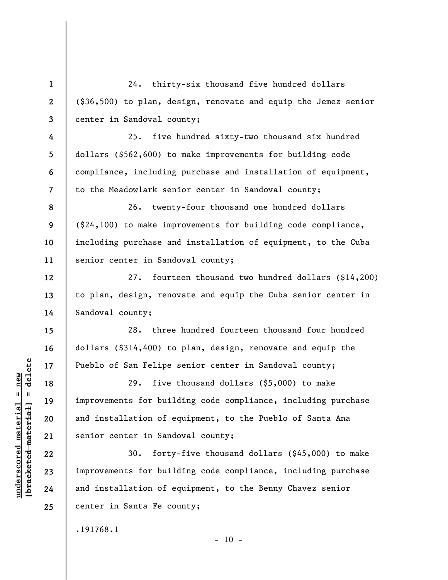**1 2 3 4 5 6 7 8 9 10 11 12 13 14 15 16 17 18 19 20 21 22 23 24 25**  24. thirty-six thousand five hundred dollars (\$36,500) to plan, design, renovate and equip the Jemez senior center in Sandoval county; 25. five hundred sixty-two thousand six hundred dollars (\$562,600) to make improvements for building code compliance, including purchase and installation of equipment, to the Meadowlark senior center in Sandoval county; 26. twenty-four thousand one hundred dollars (\$24,100) to make improvements for building code compliance, including purchase and installation of equipment, to the Cuba senior center in Sandoval county; 27. fourteen thousand two hundred dollars (\$14,200) to plan, design, renovate and equip the Cuba senior center in Sandoval county; 28. three hundred fourteen thousand four hundred dollars (\$314,400) to plan, design, renovate and equip the Pueblo of San Felipe senior center in Sandoval county; 29. five thousand dollars (\$5,000) to make improvements for building code compliance, including purchase and installation of equipment, to the Pueblo of Santa Ana senior center in Sandoval county; 30. forty-five thousand dollars (\$45,000) to make improvements for building code compliance, including purchase and installation of equipment, to the Benny Chavez senior center in Santa Fe county; .191768.1

 $b$ racketed material] = delete **[bracketed material] = delete**  $underscored material = new$ **underscored material = new**

 $- 10 -$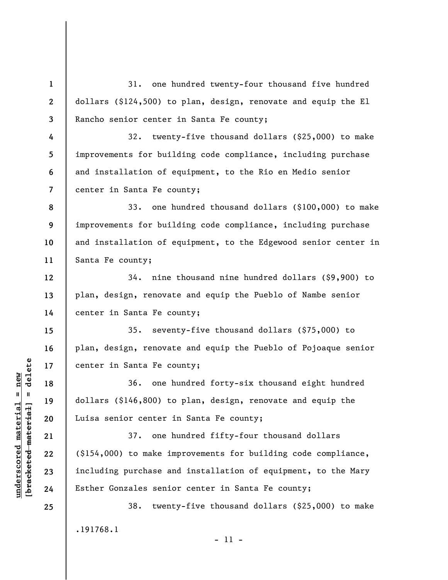**1 2 3**  31. one hundred twenty-four thousand five hundred dollars (\$124,500) to plan, design, renovate and equip the El Rancho senior center in Santa Fe county;

**7**  32. twenty-five thousand dollars (\$25,000) to make improvements for building code compliance, including purchase and installation of equipment, to the Rio en Medio senior center in Santa Fe county;

**8 9 10 11**  33. one hundred thousand dollars (\$100,000) to make improvements for building code compliance, including purchase and installation of equipment, to the Edgewood senior center in Santa Fe county;

34. nine thousand nine hundred dollars (\$9,900) to plan, design, renovate and equip the Pueblo of Nambe senior center in Santa Fe county;

35. seventy-five thousand dollars (\$75,000) to plan, design, renovate and equip the Pueblo of Pojoaque senior center in Santa Fe county;

36. one hundred forty-six thousand eight hundred dollars (\$146,800) to plan, design, renovate and equip the Luisa senior center in Santa Fe county;

37. one hundred fifty-four thousand dollars (\$154,000) to make improvements for building code compliance, including purchase and installation of equipment, to the Mary Esther Gonzales senior center in Santa Fe county;

38. twenty-five thousand dollars (\$25,000) to make .191768.1 - 11 -

 $\frac{1}{2}$  intereted material = delete **[bracketed material] = delete**  $underscored$  material = new **underscored material = new**

**4** 

**5** 

**6** 

**12** 

**13** 

**14** 

**15** 

**16** 

**17** 

**18** 

**19** 

**20** 

**21** 

**22** 

**23** 

**24**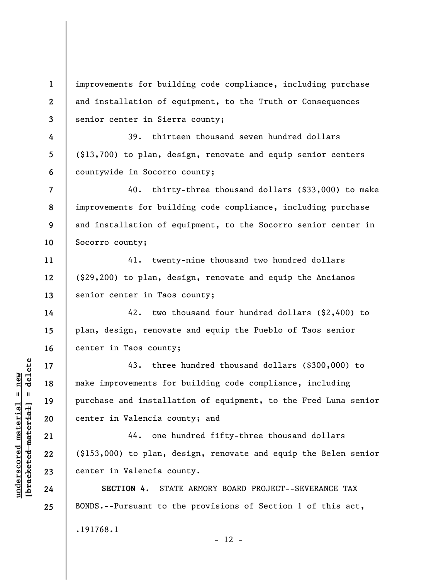**1 2 3**  improvements for building code compliance, including purchase and installation of equipment, to the Truth or Consequences senior center in Sierra county;

39. thirteen thousand seven hundred dollars (\$13,700) to plan, design, renovate and equip senior centers countywide in Socorro county;

**8 9**  40. thirty-three thousand dollars (\$33,000) to make improvements for building code compliance, including purchase and installation of equipment, to the Socorro senior center in Socorro county;

41. twenty-nine thousand two hundred dollars (\$29,200) to plan, design, renovate and equip the Ancianos senior center in Taos county;

42. two thousand four hundred dollars (\$2,400) to plan, design, renovate and equip the Pueblo of Taos senior center in Taos county;

43. three hundred thousand dollars (\$300,000) to make improvements for building code compliance, including purchase and installation of equipment, to the Fred Luna senior center in Valencia county; and

44. one hundred fifty-three thousand dollars (\$153,000) to plan, design, renovate and equip the Belen senior center in Valencia county.

**SECTION 4.** STATE ARMORY BOARD PROJECT--SEVERANCE TAX BONDS.--Pursuant to the provisions of Section 1 of this act, .191768.1  $- 12 -$ 

 $\frac{1}{2}$  intereted material = delete **[bracketed material] = delete**  $underscored material = new$ **underscored material = new**

**4** 

**5** 

**6** 

**7** 

**10** 

**11** 

**12** 

**13** 

**14** 

**15** 

**16** 

**17** 

**18** 

**19** 

**20** 

**21** 

**22** 

**23** 

**24**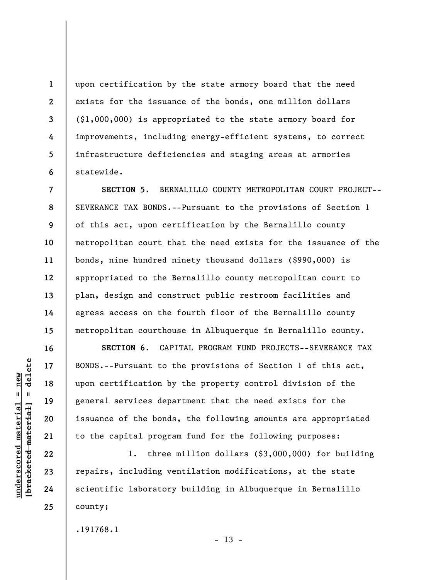upon certification by the state armory board that the need exists for the issuance of the bonds, one million dollars (\$1,000,000) is appropriated to the state armory board for improvements, including energy-efficient systems, to correct infrastructure deficiencies and staging areas at armories statewide.

**7 8 9 10 11 12 13 14 15 SECTION 5.** BERNALILLO COUNTY METROPOLITAN COURT PROJECT-- SEVERANCE TAX BONDS.--Pursuant to the provisions of Section 1 of this act, upon certification by the Bernalillo county metropolitan court that the need exists for the issuance of the bonds, nine hundred ninety thousand dollars (\$990,000) is appropriated to the Bernalillo county metropolitan court to plan, design and construct public restroom facilities and egress access on the fourth floor of the Bernalillo county metropolitan courthouse in Albuquerque in Bernalillo county.

**SECTION 6.** CAPITAL PROGRAM FUND PROJECTS--SEVERANCE TAX BONDS.--Pursuant to the provisions of Section 1 of this act, upon certification by the property control division of the general services department that the need exists for the issuance of the bonds, the following amounts are appropriated to the capital program fund for the following purposes:

1. three million dollars (\$3,000,000) for building repairs, including ventilation modifications, at the state scientific laboratory building in Albuquerque in Bernalillo county;

.191768.1

delete **[bracketed material] = delete**  $underscored material = new$ **underscored material = new**  $\mathbf{u}$ bracketed material

**1** 

**2** 

**3** 

**4** 

**5** 

**6** 

**16** 

**17** 

**18** 

**19** 

**20** 

**21** 

**22** 

**23** 

**24** 

 $- 13 -$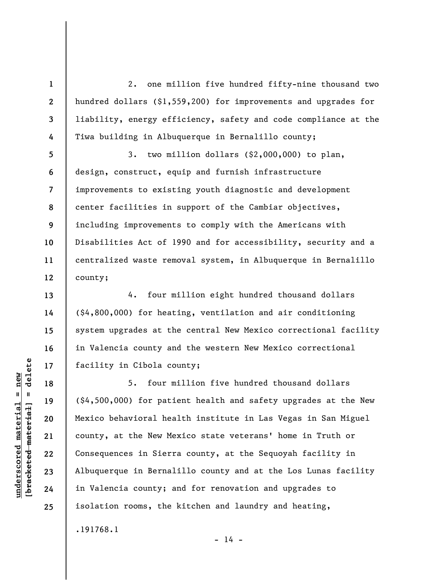2. one million five hundred fifty-nine thousand two hundred dollars (\$1,559,200) for improvements and upgrades for liability, energy efficiency, safety and code compliance at the Tiwa building in Albuquerque in Bernalillo county;

3. two million dollars (\$2,000,000) to plan, design, construct, equip and furnish infrastructure improvements to existing youth diagnostic and development center facilities in support of the Cambiar objectives, including improvements to comply with the Americans with Disabilities Act of 1990 and for accessibility, security and a centralized waste removal system, in Albuquerque in Bernalillo county;

4. four million eight hundred thousand dollars (\$4,800,000) for heating, ventilation and air conditioning system upgrades at the central New Mexico correctional facility in Valencia county and the western New Mexico correctional facility in Cibola county;

5. four million five hundred thousand dollars (\$4,500,000) for patient health and safety upgrades at the New Mexico behavioral health institute in Las Vegas in San Miguel county, at the New Mexico state veterans' home in Truth or Consequences in Sierra county, at the Sequoyah facility in Albuquerque in Bernalillo county and at the Los Lunas facility in Valencia county; and for renovation and upgrades to isolation rooms, the kitchen and laundry and heating,

.191768.1

 $\frac{1}{2}$  of  $\frac{1}{2}$  and  $\frac{1}{2}$  and  $\frac{1}{2}$  and  $\frac{1}{2}$  and  $\frac{1}{2}$  and  $\frac{1}{2}$  and  $\frac{1}{2}$  and  $\frac{1}{2}$  and  $\frac{1}{2}$  and  $\frac{1}{2}$  and  $\frac{1}{2}$  and  $\frac{1}{2}$  and  $\frac{1}{2}$  and  $\frac{1}{2}$  and  $\frac{1}{2}$  an **[bracketed material] = delete**  $underscored material = new$ **underscored material = new**

**1** 

**2** 

**3** 

**4** 

**5** 

**6** 

**7** 

**8** 

**9** 

**10** 

**11** 

**12** 

**13** 

**14** 

**15** 

**16** 

**17** 

**18** 

**19** 

**20** 

**21** 

**22** 

**23** 

**24** 

**25** 

 $- 14 -$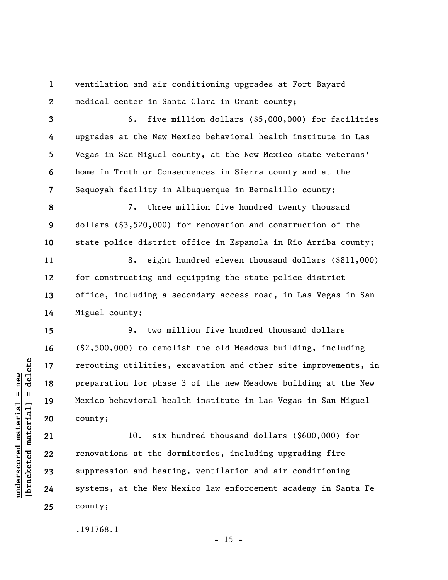ventilation and air conditioning upgrades at Fort Bayard medical center in Santa Clara in Grant county;

6. five million dollars (\$5,000,000) for facilities upgrades at the New Mexico behavioral health institute in Las Vegas in San Miguel county, at the New Mexico state veterans' home in Truth or Consequences in Sierra county and at the Sequoyah facility in Albuquerque in Bernalillo county;

7. three million five hundred twenty thousand dollars (\$3,520,000) for renovation and construction of the state police district office in Espanola in Rio Arriba county;

8. eight hundred eleven thousand dollars (\$811,000) for constructing and equipping the state police district office, including a secondary access road, in Las Vegas in San Miguel county;

9. two million five hundred thousand dollars (\$2,500,000) to demolish the old Meadows building, including rerouting utilities, excavation and other site improvements, in preparation for phase 3 of the new Meadows building at the New Mexico behavioral health institute in Las Vegas in San Miguel county;

10. six hundred thousand dollars (\$600,000) for renovations at the dormitories, including upgrading fire suppression and heating, ventilation and air conditioning systems, at the New Mexico law enforcement academy in Santa Fe county;

.191768.1

 $- 15 -$ 

 $b$ racketed material] = delete **[bracketed material] = delete**  $underscored material = new$ **underscored material = new**

**1** 

**2** 

**3** 

**4** 

**5** 

**6** 

**7** 

**8** 

**9** 

**10** 

**11** 

**12** 

**13** 

**14** 

**15** 

**16** 

**17** 

**18** 

**19** 

**20** 

**21** 

**22** 

**23** 

**24**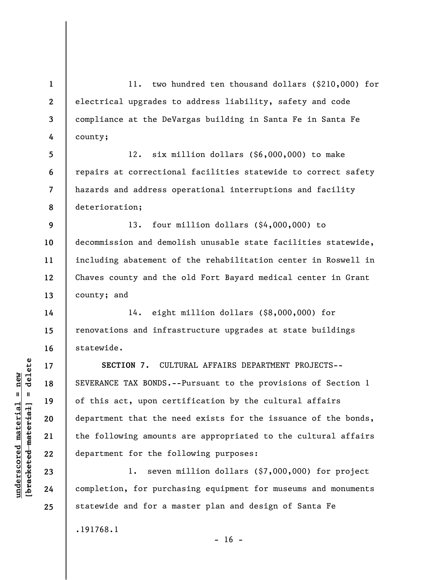**1 2 3 4**  11. two hundred ten thousand dollars (\$210,000) for electrical upgrades to address liability, safety and code compliance at the DeVargas building in Santa Fe in Santa Fe county;

**5 6 7 8**  12. six million dollars (\$6,000,000) to make repairs at correctional facilities statewide to correct safety hazards and address operational interruptions and facility deterioration;

**9 10 11 12 13**  13. four million dollars (\$4,000,000) to decommission and demolish unusable state facilities statewide, including abatement of the rehabilitation center in Roswell in Chaves county and the old Fort Bayard medical center in Grant county; and

14. eight million dollars (\$8,000,000) for renovations and infrastructure upgrades at state buildings statewide.

**SECTION 7.** CULTURAL AFFAIRS DEPARTMENT PROJECTS-- SEVERANCE TAX BONDS.--Pursuant to the provisions of Section 1 of this act, upon certification by the cultural affairs department that the need exists for the issuance of the bonds, the following amounts are appropriated to the cultural affairs department for the following purposes:

1. seven million dollars (\$7,000,000) for project completion, for purchasing equipment for museums and monuments statewide and for a master plan and design of Santa Fe

.191768.1

 $b$ racketed material] = delete **[bracketed material] = delete**  $underscored material = new$ **underscored material = new**

**14** 

**15** 

**16** 

**17** 

**18** 

**19** 

**20** 

**21** 

**22** 

**23** 

**24** 

**25** 

 $- 16 -$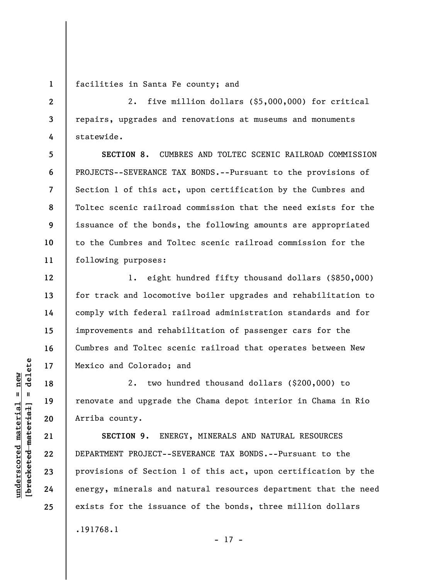**1**  facilities in Santa Fe county; and

2. five million dollars (\$5,000,000) for critical repairs, upgrades and renovations at museums and monuments statewide.

**SECTION 8.** CUMBRES AND TOLTEC SCENIC RAILROAD COMMISSION PROJECTS--SEVERANCE TAX BONDS.--Pursuant to the provisions of Section 1 of this act, upon certification by the Cumbres and Toltec scenic railroad commission that the need exists for the issuance of the bonds, the following amounts are appropriated to the Cumbres and Toltec scenic railroad commission for the following purposes:

1. eight hundred fifty thousand dollars (\$850,000) for track and locomotive boiler upgrades and rehabilitation to comply with federal railroad administration standards and for improvements and rehabilitation of passenger cars for the Cumbres and Toltec scenic railroad that operates between New Mexico and Colorado; and

2. two hundred thousand dollars (\$200,000) to renovate and upgrade the Chama depot interior in Chama in Rio Arriba county.

**SECTION 9.** ENERGY, MINERALS AND NATURAL RESOURCES DEPARTMENT PROJECT--SEVERANCE TAX BONDS.--Pursuant to the provisions of Section 1 of this act, upon certification by the energy, minerals and natural resources department that the need exists for the issuance of the bonds, three million dollars .191768.1

- 17 -

 $\frac{1}{2}$  intereted material = delete **[bracketed material] = delete**  $underscored material = new$ **underscored material = new**

**2** 

**3** 

**4** 

**5** 

**6** 

**7** 

**8** 

**9** 

**10** 

**11** 

**12** 

**13** 

**14** 

**15** 

**16** 

**17** 

**18** 

**19** 

**20** 

**21** 

**22** 

**23** 

**24**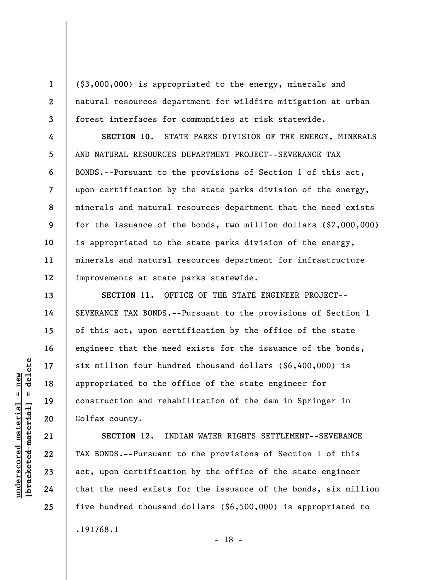**1** 

**2** 

**3** 

**4** 

**5** 

**6** 

**7** 

**8** 

**9** 

**10** 

**11** 

**12** 

**13** 

**14** 

**15** 

**16** 

**17** 

**18** 

**19** 

**20** 

**21** 

**22** 

**23** 

**24** 

**25** 

(\$3,000,000) is appropriated to the energy, minerals and natural resources department for wildfire mitigation at urban forest interfaces for communities at risk statewide.

**SECTION 10.** STATE PARKS DIVISION OF THE ENERGY, MINERALS AND NATURAL RESOURCES DEPARTMENT PROJECT--SEVERANCE TAX BONDS.--Pursuant to the provisions of Section 1 of this act, upon certification by the state parks division of the energy, minerals and natural resources department that the need exists for the issuance of the bonds, two million dollars (\$2,000,000) is appropriated to the state parks division of the energy, minerals and natural resources department for infrastructure improvements at state parks statewide.

**SECTION 11.** OFFICE OF THE STATE ENGINEER PROJECT-- SEVERANCE TAX BONDS.--Pursuant to the provisions of Section 1 of this act, upon certification by the office of the state engineer that the need exists for the issuance of the bonds, six million four hundred thousand dollars (\$6,400,000) is appropriated to the office of the state engineer for construction and rehabilitation of the dam in Springer in Colfax county.

**SECTION 12.** INDIAN WATER RIGHTS SETTLEMENT--SEVERANCE TAX BONDS.--Pursuant to the provisions of Section 1 of this act, upon certification by the office of the state engineer that the need exists for the issuance of the bonds, six million five hundred thousand dollars (\$6,500,000) is appropriated to .191768.1 - 18 -

delete **[bracketed material] = delete**  $underscored material = new$ **underscored material = new**  $\mathbf{I}$ bracketed material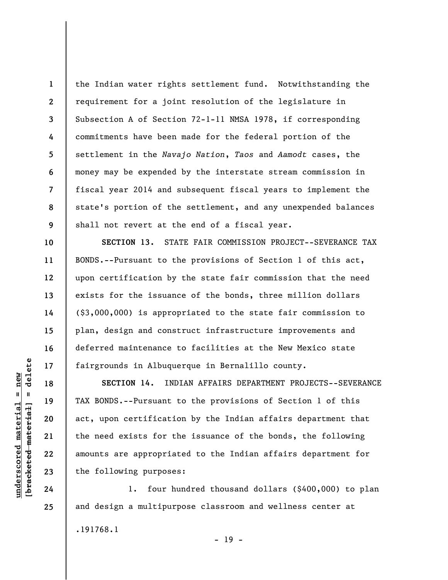**1 2 3 4 5 6 7 8 9**  the Indian water rights settlement fund. Notwithstanding the requirement for a joint resolution of the legislature in Subsection A of Section 72-1-11 NMSA 1978, if corresponding commitments have been made for the federal portion of the settlement in the *Navajo Nation*, *Taos* and *Aamodt* cases, the money may be expended by the interstate stream commission in fiscal year 2014 and subsequent fiscal years to implement the state's portion of the settlement, and any unexpended balances shall not revert at the end of a fiscal year.

**SECTION 13.** STATE FAIR COMMISSION PROJECT--SEVERANCE TAX BONDS.--Pursuant to the provisions of Section 1 of this act, upon certification by the state fair commission that the need exists for the issuance of the bonds, three million dollars (\$3,000,000) is appropriated to the state fair commission to plan, design and construct infrastructure improvements and deferred maintenance to facilities at the New Mexico state fairgrounds in Albuquerque in Bernalillo county.

**SECTION 14.** INDIAN AFFAIRS DEPARTMENT PROJECTS--SEVERANCE TAX BONDS.--Pursuant to the provisions of Section 1 of this act, upon certification by the Indian affairs department that the need exists for the issuance of the bonds, the following amounts are appropriated to the Indian affairs department for the following purposes:

1. four hundred thousand dollars (\$400,000) to plan and design a multipurpose classroom and wellness center at .191768.1  $- 19 -$ 

delete **[bracketed material] = delete**  $underscored material = new$ **underscored material = new**  $\frac{1}{2}$ 

**10** 

**11** 

**12** 

**13** 

**14** 

**15** 

**16** 

**17** 

**18** 

**19** 

**20** 

**21** 

**22** 

**23** 

**24**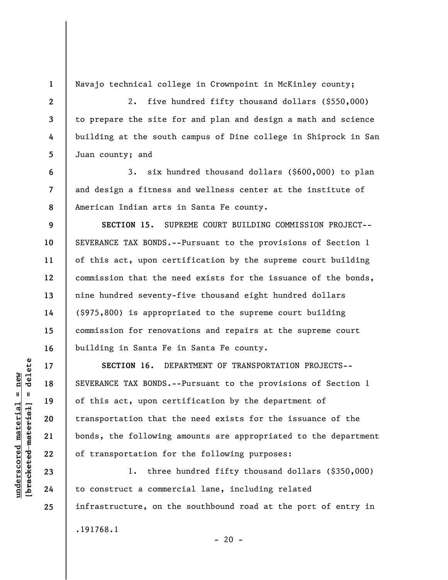**1 2** 

**3** 

**4** 

**5** 

**6** 

**7** 

**8** 

**17** 

**18** 

**19** 

**20** 

**21** 

**22** 

**23** 

**24** 

**25** 

Navajo technical college in Crownpoint in McKinley county;

2. five hundred fifty thousand dollars (\$550,000) to prepare the site for and plan and design a math and science building at the south campus of Dine college in Shiprock in San Juan county; and

3. six hundred thousand dollars (\$600,000) to plan and design a fitness and wellness center at the institute of American Indian arts in Santa Fe county.

**9 10 11 12 13 14 15 16 SECTION 15.** SUPREME COURT BUILDING COMMISSION PROJECT-- SEVERANCE TAX BONDS.--Pursuant to the provisions of Section 1 of this act, upon certification by the supreme court building commission that the need exists for the issuance of the bonds, nine hundred seventy-five thousand eight hundred dollars (\$975,800) is appropriated to the supreme court building commission for renovations and repairs at the supreme court building in Santa Fe in Santa Fe county.

**SECTION 16.** DEPARTMENT OF TRANSPORTATION PROJECTS-- SEVERANCE TAX BONDS.--Pursuant to the provisions of Section 1 of this act, upon certification by the department of transportation that the need exists for the issuance of the bonds, the following amounts are appropriated to the department of transportation for the following purposes:

1. three hundred fifty thousand dollars (\$350,000) to construct a commercial lane, including related infrastructure, on the southbound road at the port of entry in .191768.1  $- 20 -$ 

 $\frac{1}{2}$  of  $\frac{1}{2}$  and  $\frac{1}{2}$  and  $\frac{1}{2}$  and  $\frac{1}{2}$  and  $\frac{1}{2}$  and  $\frac{1}{2}$  and  $\frac{1}{2}$  and  $\frac{1}{2}$  and  $\frac{1}{2}$  and  $\frac{1}{2}$  and  $\frac{1}{2}$  and  $\frac{1}{2}$  and  $\frac{1}{2}$  and  $\frac{1}{2}$  and  $\frac{1}{2}$  an **[bracketed material] = delete**  $underscored material = new$ **underscored material = new**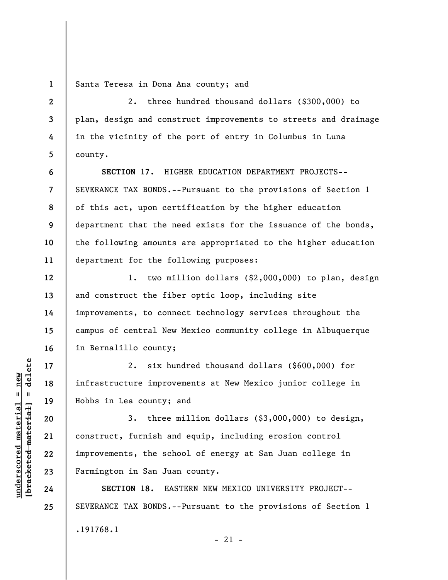**1**  Santa Teresa in Dona Ana county; and

2. three hundred thousand dollars (\$300,000) to plan, design and construct improvements to streets and drainage in the vicinity of the port of entry in Columbus in Luna county.

**SECTION 17.** HIGHER EDUCATION DEPARTMENT PROJECTS-- SEVERANCE TAX BONDS.--Pursuant to the provisions of Section 1 of this act, upon certification by the higher education department that the need exists for the issuance of the bonds, the following amounts are appropriated to the higher education department for the following purposes:

1. two million dollars (\$2,000,000) to plan, design and construct the fiber optic loop, including site improvements, to connect technology services throughout the campus of central New Mexico community college in Albuquerque in Bernalillo county;

2. six hundred thousand dollars (\$600,000) for infrastructure improvements at New Mexico junior college in Hobbs in Lea county; and

3. three million dollars (\$3,000,000) to design, construct, furnish and equip, including erosion control improvements, the school of energy at San Juan college in Farmington in San Juan county.

**SECTION 18.** EASTERN NEW MEXICO UNIVERSITY PROJECT-- SEVERANCE TAX BONDS.--Pursuant to the provisions of Section 1 .191768.1  $-21 -$ 

 $\frac{1}{2}$  intereted material = delete **[bracketed material] = delete**  $underscored material = new$ **underscored material = new**

**2** 

**3** 

**4** 

**5** 

**6** 

**7** 

**8** 

**9** 

**10** 

**11** 

**12** 

**13** 

**14** 

**15** 

**16** 

**17** 

**18** 

**19** 

**20** 

**21** 

**22** 

**23** 

**24**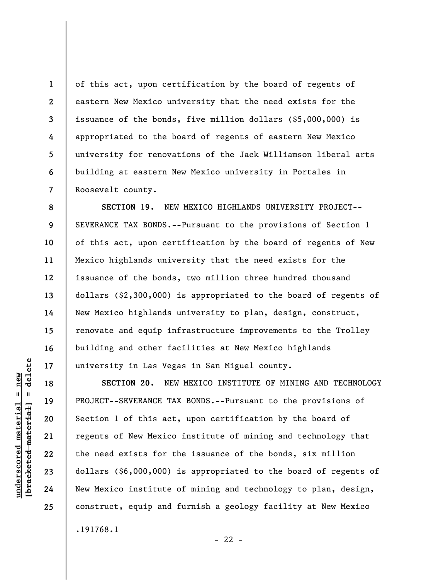of this act, upon certification by the board of regents of eastern New Mexico university that the need exists for the issuance of the bonds, five million dollars (\$5,000,000) is appropriated to the board of regents of eastern New Mexico university for renovations of the Jack Williamson liberal arts building at eastern New Mexico university in Portales in Roosevelt county.

**SECTION 19.** NEW MEXICO HIGHLANDS UNIVERSITY PROJECT-- SEVERANCE TAX BONDS.--Pursuant to the provisions of Section 1 of this act, upon certification by the board of regents of New Mexico highlands university that the need exists for the issuance of the bonds, two million three hundred thousand dollars (\$2,300,000) is appropriated to the board of regents of New Mexico highlands university to plan, design, construct, renovate and equip infrastructure improvements to the Trolley building and other facilities at New Mexico highlands university in Las Vegas in San Miguel county.

**SECTION 20.** NEW MEXICO INSTITUTE OF MINING AND TECHNOLOGY PROJECT--SEVERANCE TAX BONDS.--Pursuant to the provisions of Section 1 of this act, upon certification by the board of regents of New Mexico institute of mining and technology that the need exists for the issuance of the bonds, six million dollars (\$6,000,000) is appropriated to the board of regents of New Mexico institute of mining and technology to plan, design, construct, equip and furnish a geology facility at New Mexico .191768.1

**1** 

**2** 

**3** 

**4** 

**5** 

**6** 

**7** 

**8** 

**9** 

**10** 

**11** 

**12** 

**13** 

**14** 

**15** 

**16** 

**17** 

**18** 

**19** 

**20** 

**21** 

**22** 

**23** 

**24** 

**25** 

 $- 22 -$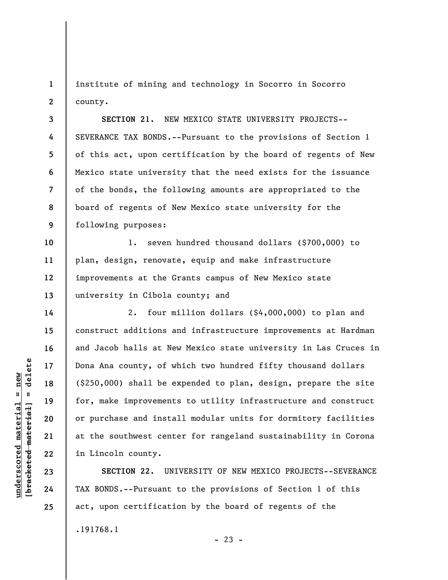**1 2**  institute of mining and technology in Socorro in Socorro county.

**3 4 5 6 7 8 9 SECTION 21.** NEW MEXICO STATE UNIVERSITY PROJECTS-- SEVERANCE TAX BONDS.--Pursuant to the provisions of Section 1 of this act, upon certification by the board of regents of New Mexico state university that the need exists for the issuance of the bonds, the following amounts are appropriated to the board of regents of New Mexico state university for the following purposes:

1. seven hundred thousand dollars (\$700,000) to plan, design, renovate, equip and make infrastructure improvements at the Grants campus of New Mexico state university in Cibola county; and

2. four million dollars (\$4,000,000) to plan and construct additions and infrastructure improvements at Hardman and Jacob halls at New Mexico state university in Las Cruces in Dona Ana county, of which two hundred fifty thousand dollars (\$250,000) shall be expended to plan, design, prepare the site for, make improvements to utility infrastructure and construct or purchase and install modular units for dormitory facilities at the southwest center for rangeland sustainability in Corona in Lincoln county.

**SECTION 22.** UNIVERSITY OF NEW MEXICO PROJECTS--SEVERANCE TAX BONDS.--Pursuant to the provisions of Section 1 of this act, upon certification by the board of regents of the .191768.1

 $- 23 -$ 

**10** 

**11** 

**12** 

**13** 

**14** 

**15** 

**16** 

**17** 

**18** 

**19** 

**20** 

**21** 

**22** 

**23** 

**24**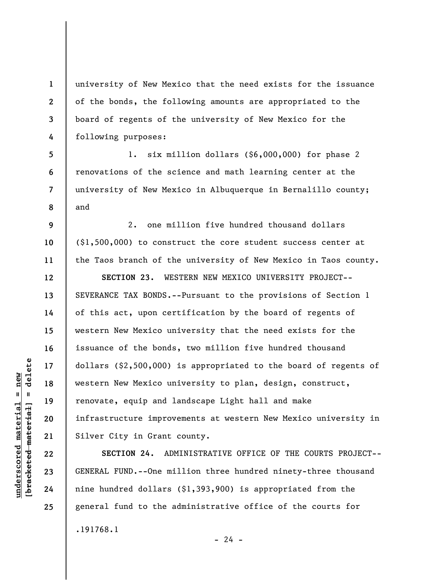university of New Mexico that the need exists for the issuance of the bonds, the following amounts are appropriated to the board of regents of the university of New Mexico for the following purposes:

**5 6 7 8**  1. six million dollars (\$6,000,000) for phase 2 renovations of the science and math learning center at the university of New Mexico in Albuquerque in Bernalillo county; and

2. one million five hundred thousand dollars (\$1,500,000) to construct the core student success center at the Taos branch of the university of New Mexico in Taos county.

**SECTION 23.** WESTERN NEW MEXICO UNIVERSITY PROJECT-- SEVERANCE TAX BONDS.--Pursuant to the provisions of Section 1 of this act, upon certification by the board of regents of western New Mexico university that the need exists for the issuance of the bonds, two million five hundred thousand dollars (\$2,500,000) is appropriated to the board of regents of western New Mexico university to plan, design, construct, renovate, equip and landscape Light hall and make infrastructure improvements at western New Mexico university in Silver City in Grant county.

**SECTION 24.** ADMINISTRATIVE OFFICE OF THE COURTS PROJECT-- GENERAL FUND.--One million three hundred ninety-three thousand nine hundred dollars (\$1,393,900) is appropriated from the general fund to the administrative office of the courts for .191768.1  $- 24 -$ 

 $\frac{1}{2}$  intereted material = delete **[bracketed material] = delete**  $underscored material = new$ **underscored material = new**

**1** 

**2** 

**3** 

**4** 

**9** 

**10** 

**11** 

**12** 

**13** 

**14** 

**15** 

**16** 

**17** 

**18** 

**19** 

**20** 

**21** 

**22** 

**23** 

**24**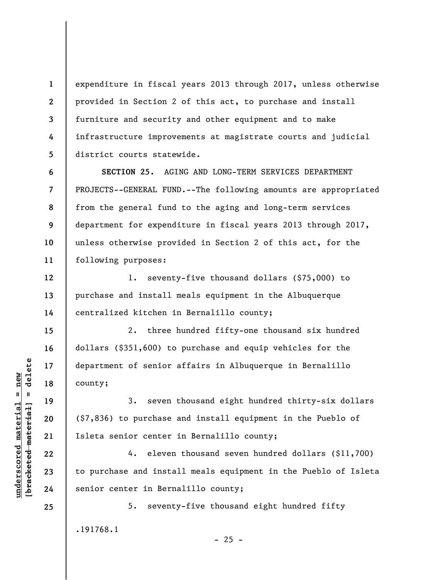**2 3 4 5**  expenditure in fiscal years 2013 through 2017, unless otherwise provided in Section 2 of this act, to purchase and install furniture and security and other equipment and to make infrastructure improvements at magistrate courts and judicial district courts statewide.

**7 8 9 10 11 SECTION 25.** AGING AND LONG-TERM SERVICES DEPARTMENT PROJECTS--GENERAL FUND.--The following amounts are appropriated from the general fund to the aging and long-term services department for expenditure in fiscal years 2013 through 2017, unless otherwise provided in Section 2 of this act, for the following purposes:

1. seventy-five thousand dollars (\$75,000) to purchase and install meals equipment in the Albuquerque centralized kitchen in Bernalillo county;

2. three hundred fifty-one thousand six hundred dollars (\$351,600) to purchase and equip vehicles for the department of senior affairs in Albuquerque in Bernalillo county;

3. seven thousand eight hundred thirty-six dollars (\$7,836) to purchase and install equipment in the Pueblo of Isleta senior center in Bernalillo county;

4. eleven thousand seven hundred dollars (\$11,700) to purchase and install meals equipment in the Pueblo of Isleta senior center in Bernalillo county;

5. seventy-five thousand eight hundred fifty

 $- 25 -$ 

.191768.1

 $b$ racketed material] = delete **[bracketed material] = delete**  $underscored material = new$ **underscored material = new**

**1** 

**6** 

**12** 

**13** 

**14** 

**15** 

**16** 

**17** 

**18** 

**19** 

**20** 

**21** 

**22** 

**23** 

**24**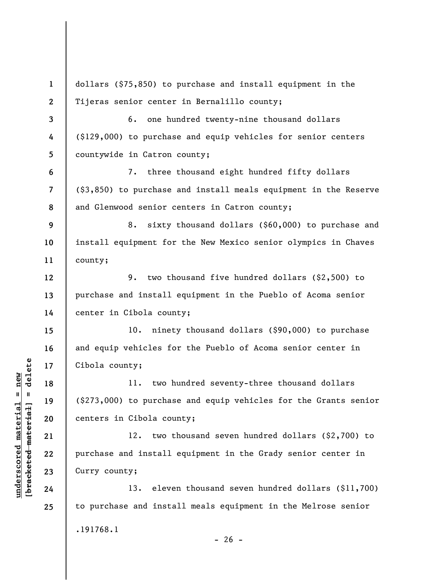**1 2 3 4 5 6 7 8 9 10 11 12 13 14 15 16 17 18 19 20 21 22 23 24 25**  dollars (\$75,850) to purchase and install equipment in the Tijeras senior center in Bernalillo county; 6. one hundred twenty-nine thousand dollars (\$129,000) to purchase and equip vehicles for senior centers countywide in Catron county; 7. three thousand eight hundred fifty dollars (\$3,850) to purchase and install meals equipment in the Reserve and Glenwood senior centers in Catron county; 8. sixty thousand dollars (\$60,000) to purchase and install equipment for the New Mexico senior olympics in Chaves county; 9. two thousand five hundred dollars (\$2,500) to purchase and install equipment in the Pueblo of Acoma senior center in Cibola county; 10. ninety thousand dollars (\$90,000) to purchase and equip vehicles for the Pueblo of Acoma senior center in Cibola county; 11. two hundred seventy-three thousand dollars (\$273,000) to purchase and equip vehicles for the Grants senior centers in Cibola county; 12. two thousand seven hundred dollars (\$2,700) to purchase and install equipment in the Grady senior center in Curry county; 13. eleven thousand seven hundred dollars (\$11,700) to purchase and install meals equipment in the Melrose senior .191768.1

 $b$ racketed material] = delete **[bracketed material] = delete**  $underscored$  material = new **underscored material = new**

 $- 26 -$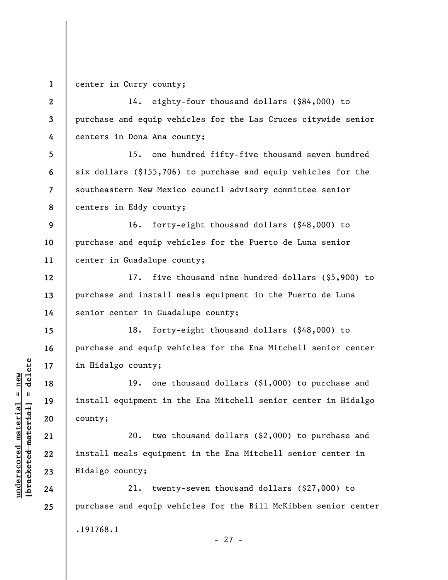**1**  center in Curry county;

**underscored material = new [bracketed material] = delete**

 $b$ racketed material] = delete  $underscored$  material = new

**2 3 4 5 6 7 8 9 10 11 12 13 14 15 16 17 18 19 20 21 22 23 24 25**  14. eighty-four thousand dollars (\$84,000) to purchase and equip vehicles for the Las Cruces citywide senior centers in Dona Ana county; 15. one hundred fifty-five thousand seven hundred six dollars (\$155,706) to purchase and equip vehicles for the southeastern New Mexico council advisory committee senior centers in Eddy county; 16. forty-eight thousand dollars (\$48,000) to purchase and equip vehicles for the Puerto de Luna senior center in Guadalupe county; 17. five thousand nine hundred dollars (\$5,900) to purchase and install meals equipment in the Puerto de Luna senior center in Guadalupe county; 18. forty-eight thousand dollars (\$48,000) to purchase and equip vehicles for the Ena Mitchell senior center in Hidalgo county; 19. one thousand dollars (\$1,000) to purchase and install equipment in the Ena Mitchell senior center in Hidalgo county; 20. two thousand dollars (\$2,000) to purchase and install meals equipment in the Ena Mitchell senior center in Hidalgo county; 21. twenty-seven thousand dollars (\$27,000) to purchase and equip vehicles for the Bill McKibben senior center .191768.1

- 27 -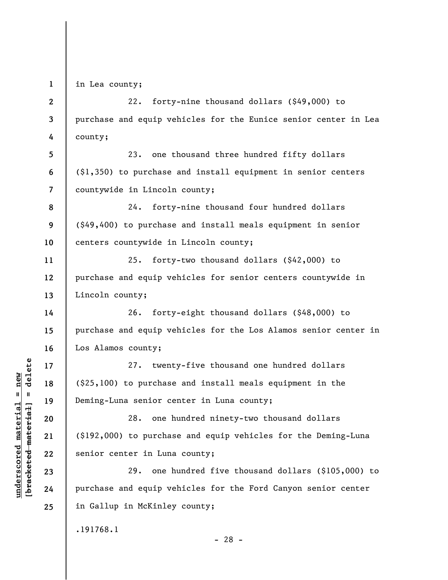**1 2** 

**3** 

**4** 

**5** 

**6** 

**7** 

**11** 

**12** 

**13** 

**14** 

**15** 

**16** 

**17** 

**18** 

**19** 

**20** 

**21** 

**22** 

**23** 

**24** 

**25** 

in Lea county;

22. forty-nine thousand dollars (\$49,000) to purchase and equip vehicles for the Eunice senior center in Lea county;

23. one thousand three hundred fifty dollars (\$1,350) to purchase and install equipment in senior centers countywide in Lincoln county;

**8 9 10**  24. forty-nine thousand four hundred dollars (\$49,400) to purchase and install meals equipment in senior centers countywide in Lincoln county;

25. forty-two thousand dollars (\$42,000) to purchase and equip vehicles for senior centers countywide in Lincoln county;

26. forty-eight thousand dollars (\$48,000) to purchase and equip vehicles for the Los Alamos senior center in Los Alamos county;

27. twenty-five thousand one hundred dollars (\$25,100) to purchase and install meals equipment in the Deming-Luna senior center in Luna county;

28. one hundred ninety-two thousand dollars (\$192,000) to purchase and equip vehicles for the Deming-Luna senior center in Luna county;

29. one hundred five thousand dollars (\$105,000) to purchase and equip vehicles for the Ford Canyon senior center in Gallup in McKinley county;

.191768.1

 $b$ racketed material] = delete **[bracketed material] = delete**  $underscored$  material = new **underscored material = new**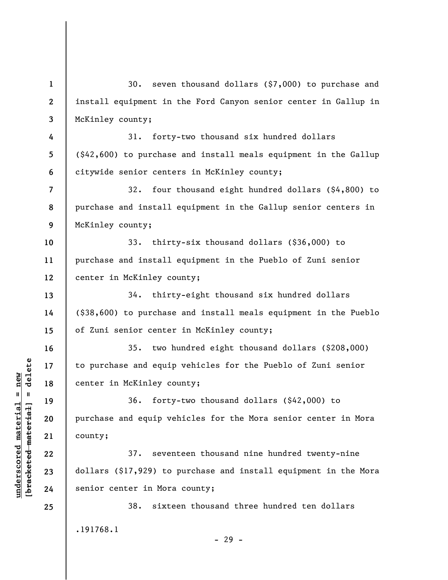**1 2 3 4 5 6 7 8 9 10 11 12 13 14 15 16 17 18 19 20 21 22 23 24 25**  30. seven thousand dollars (\$7,000) to purchase and install equipment in the Ford Canyon senior center in Gallup in McKinley county; 31. forty-two thousand six hundred dollars (\$42,600) to purchase and install meals equipment in the Gallup citywide senior centers in McKinley county; 32. four thousand eight hundred dollars (\$4,800) to purchase and install equipment in the Gallup senior centers in McKinley county; 33. thirty-six thousand dollars (\$36,000) to purchase and install equipment in the Pueblo of Zuni senior center in McKinley county; 34. thirty-eight thousand six hundred dollars (\$38,600) to purchase and install meals equipment in the Pueblo of Zuni senior center in McKinley county; 35. two hundred eight thousand dollars (\$208,000) to purchase and equip vehicles for the Pueblo of Zuni senior center in McKinley county; 36. forty-two thousand dollars (\$42,000) to purchase and equip vehicles for the Mora senior center in Mora county; 37. seventeen thousand nine hundred twenty-nine dollars (\$17,929) to purchase and install equipment in the Mora senior center in Mora county; 38. sixteen thousand three hundred ten dollars .191768.1 - 29 -

**underscored material = new [bracketed material] = delete**

 $b$ racketed material] = delete  $underscored$  material = new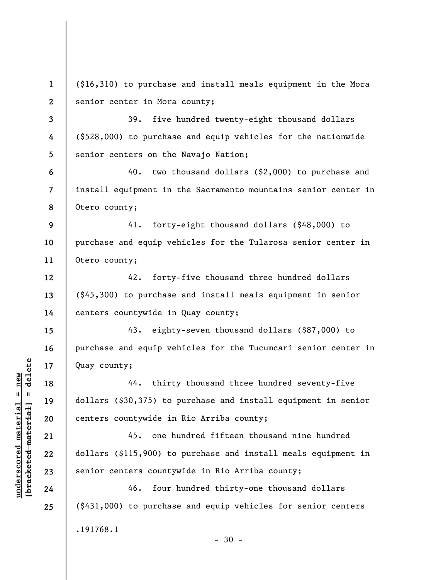**1 2**  (\$16,310) to purchase and install meals equipment in the Mora senior center in Mora county;

**3 4 5**  39. five hundred twenty-eight thousand dollars (\$528,000) to purchase and equip vehicles for the nationwide senior centers on the Navajo Nation;

**6 7 8**  40. two thousand dollars (\$2,000) to purchase and install equipment in the Sacramento mountains senior center in Otero county;

**9 10 11**  41. forty-eight thousand dollars (\$48,000) to purchase and equip vehicles for the Tularosa senior center in Otero county;

42. forty-five thousand three hundred dollars (\$45,300) to purchase and install meals equipment in senior centers countywide in Quay county;

43. eighty-seven thousand dollars (\$87,000) to purchase and equip vehicles for the Tucumcari senior center in Quay county;

44. thirty thousand three hundred seventy-five dollars (\$30,375) to purchase and install equipment in senior centers countywide in Rio Arriba county;

45. one hundred fifteen thousand nine hundred dollars (\$115,900) to purchase and install meals equipment in senior centers countywide in Rio Arriba county;

46. four hundred thirty-one thousand dollars (\$431,000) to purchase and equip vehicles for senior centers .191768.1  $-30 -$ 

 $b$ racketed material] = delete **[bracketed material] = delete**  $underscored material = new$ **underscored material = new**

**12** 

**13** 

**14** 

**15** 

**16** 

**17** 

**18** 

**19** 

**20** 

**21** 

**22** 

**23** 

**24**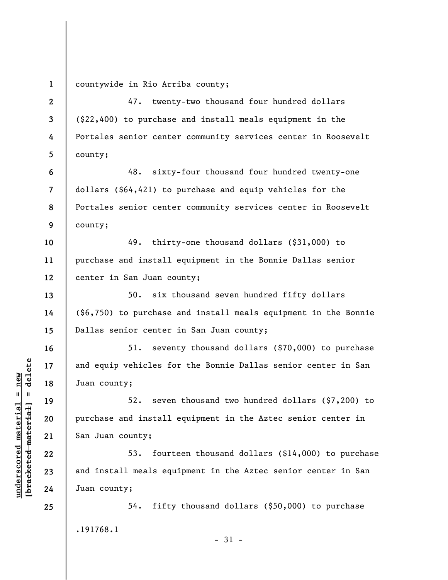county; county; center in San Juan county; Dallas senior center in San Juan county; Juan county; San Juan county; Juan county; 54. fifty thousand dollars (\$50,000) to purchase .191768.1 - 31 -

 $b$ racketed material] = delete **[bracketed material] = delete**  $underscored$  material = new **underscored material = new**

**2** 

**3** 

**4** 

**5** 

**13** 

**14** 

**15** 

**16** 

**17** 

**18** 

**19** 

**20** 

**21** 

**22** 

**23** 

**24** 

**25** 

**1**  countywide in Rio Arriba county;

47. twenty-two thousand four hundred dollars (\$22,400) to purchase and install meals equipment in the Portales senior center community services center in Roosevelt

**6 7 8 9**  48. sixty-four thousand four hundred twenty-one dollars (\$64,421) to purchase and equip vehicles for the Portales senior center community services center in Roosevelt

**10 11 12**  49. thirty-one thousand dollars (\$31,000) to purchase and install equipment in the Bonnie Dallas senior

50. six thousand seven hundred fifty dollars (\$6,750) to purchase and install meals equipment in the Bonnie

51. seventy thousand dollars (\$70,000) to purchase and equip vehicles for the Bonnie Dallas senior center in San

52. seven thousand two hundred dollars (\$7,200) to purchase and install equipment in the Aztec senior center in

53. fourteen thousand dollars (\$14,000) to purchase and install meals equipment in the Aztec senior center in San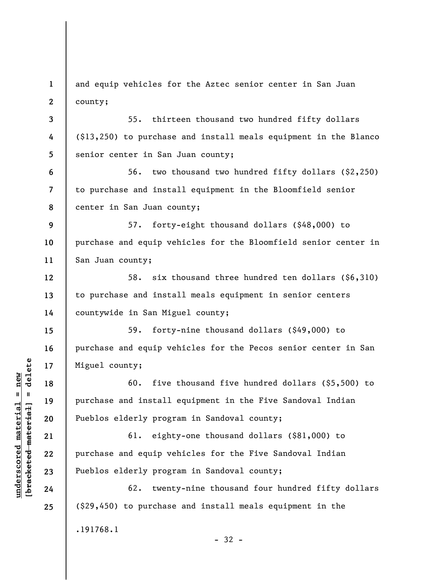**3 4 5 6 7 8 9 10 11 12 13 14**  55. thirteen thousand two hundred fifty dollars (\$13,250) to purchase and install meals equipment in the Blanco senior center in San Juan county; 56. two thousand two hundred fifty dollars (\$2,250) to purchase and install equipment in the Bloomfield senior center in San Juan county; 57. forty-eight thousand dollars (\$48,000) to purchase and equip vehicles for the Bloomfield senior center in San Juan county; 58. six thousand three hundred ten dollars (\$6,310) to purchase and install meals equipment in senior centers countywide in San Miguel county;

and equip vehicles for the Aztec senior center in San Juan

59. forty-nine thousand dollars (\$49,000) to purchase and equip vehicles for the Pecos senior center in San Miguel county;

60. five thousand five hundred dollars (\$5,500) to purchase and install equipment in the Five Sandoval Indian Pueblos elderly program in Sandoval county;

61. eighty-one thousand dollars (\$81,000) to purchase and equip vehicles for the Five Sandoval Indian Pueblos elderly program in Sandoval county;

62. twenty-nine thousand four hundred fifty dollars (\$29,450) to purchase and install meals equipment in the .191768.1 - 32 -

 $b$ racketed material] = delete **[bracketed material] = delete**  $underscored$  material = new **underscored material = new**

**15** 

**16** 

**17** 

**18** 

**19** 

**20** 

**21** 

**22** 

**23** 

**24** 

**25** 

**1** 

**2** 

county;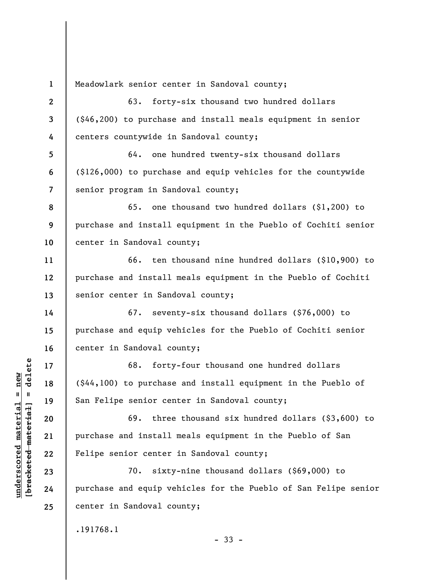**1 2 3 4 5 6 7 8 9 10 11 12 13 14 15 16 17 18 19 20 21 22 23 24 25**  Meadowlark senior center in Sandoval county; 63. forty-six thousand two hundred dollars (\$46,200) to purchase and install meals equipment in senior centers countywide in Sandoval county; 64. one hundred twenty-six thousand dollars (\$126,000) to purchase and equip vehicles for the countywide senior program in Sandoval county; 65. one thousand two hundred dollars (\$1,200) to purchase and install equipment in the Pueblo of Cochiti senior center in Sandoval county; 66. ten thousand nine hundred dollars (\$10,900) to purchase and install meals equipment in the Pueblo of Cochiti senior center in Sandoval county; 67. seventy-six thousand dollars (\$76,000) to purchase and equip vehicles for the Pueblo of Cochiti senior center in Sandoval county; 68. forty-four thousand one hundred dollars (\$44,100) to purchase and install equipment in the Pueblo of San Felipe senior center in Sandoval county; 69. three thousand six hundred dollars (\$3,600) to purchase and install meals equipment in the Pueblo of San Felipe senior center in Sandoval county; 70. sixty-nine thousand dollars (\$69,000) to purchase and equip vehicles for the Pueblo of San Felipe senior center in Sandoval county; .191768.1

**underscored material = new [bracketed material] = delete**

 $b$ racketed material] = delete  $underscored$  material = new

- 33 -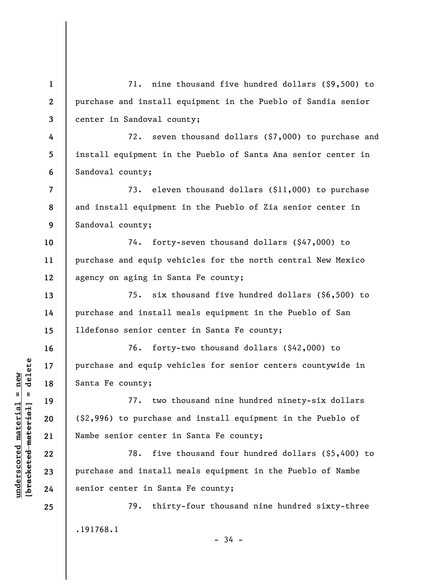**1 2 3 4 5 6 7 8 9 10 11 12 13 14 15 16 17 18 19 20 21 22 23 24 25**  71. nine thousand five hundred dollars (\$9,500) to purchase and install equipment in the Pueblo of Sandia senior center in Sandoval county; 72. seven thousand dollars (\$7,000) to purchase and install equipment in the Pueblo of Santa Ana senior center in Sandoval county; 73. eleven thousand dollars (\$11,000) to purchase and install equipment in the Pueblo of Zia senior center in Sandoval county; 74. forty-seven thousand dollars (\$47,000) to purchase and equip vehicles for the north central New Mexico agency on aging in Santa Fe county; 75. six thousand five hundred dollars (\$6,500) to purchase and install meals equipment in the Pueblo of San Ildefonso senior center in Santa Fe county; 76. forty-two thousand dollars (\$42,000) to purchase and equip vehicles for senior centers countywide in Santa Fe county; 77. two thousand nine hundred ninety-six dollars (\$2,996) to purchase and install equipment in the Pueblo of Nambe senior center in Santa Fe county; 78. five thousand four hundred dollars (\$5,400) to purchase and install meals equipment in the Pueblo of Nambe senior center in Santa Fe county; 79. thirty-four thousand nine hundred sixty-three .191768.1  $-34 -$ 

 $b$ racketed material] = delete **[bracketed material] = delete**  $underscored$  material = new **underscored material = new**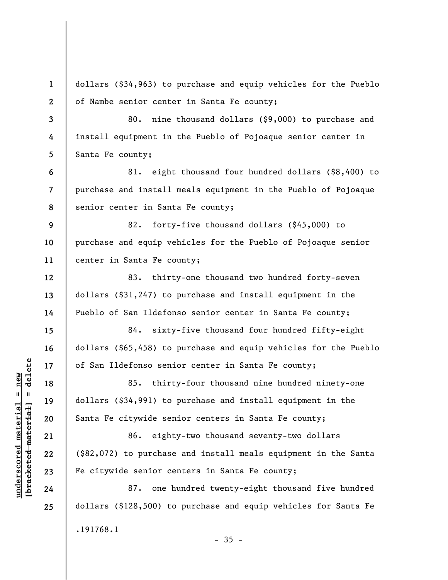**1 2 3 4 5 6 7 8 9 10 11 12 13 14 15 16 17 18 19 20 21 22 23 24 25**  dollars (\$34,963) to purchase and equip vehicles for the Pueblo of Nambe senior center in Santa Fe county; 80. nine thousand dollars (\$9,000) to purchase and install equipment in the Pueblo of Pojoaque senior center in Santa Fe county; 81. eight thousand four hundred dollars (\$8,400) to purchase and install meals equipment in the Pueblo of Pojoaque senior center in Santa Fe county; 82. forty-five thousand dollars (\$45,000) to purchase and equip vehicles for the Pueblo of Pojoaque senior center in Santa Fe county; 83. thirty-one thousand two hundred forty-seven dollars (\$31,247) to purchase and install equipment in the Pueblo of San Ildefonso senior center in Santa Fe county; 84. sixty-five thousand four hundred fifty-eight dollars (\$65,458) to purchase and equip vehicles for the Pueblo of San Ildefonso senior center in Santa Fe county; 85. thirty-four thousand nine hundred ninety-one dollars (\$34,991) to purchase and install equipment in the Santa Fe citywide senior centers in Santa Fe county; 86. eighty-two thousand seventy-two dollars (\$82,072) to purchase and install meals equipment in the Santa Fe citywide senior centers in Santa Fe county; 87. one hundred twenty-eight thousand five hundred dollars (\$128,500) to purchase and equip vehicles for Santa Fe .191768.1  $-35 -$ 

 $\frac{1}{2}$  intereted material = delete **[bracketed material] = delete**  $underscored material = new$ **underscored material = new**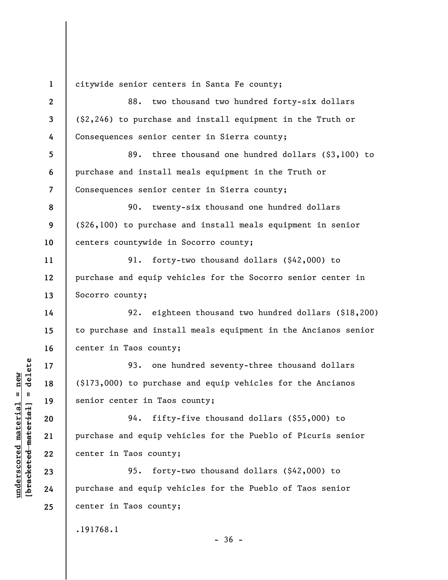**1 2 3 4 5 6 7 8 9 10 11 12 13 14 15 16 17 18 19 20 21 22 23 24 25**  citywide senior centers in Santa Fe county; 88. two thousand two hundred forty-six dollars (\$2,246) to purchase and install equipment in the Truth or Consequences senior center in Sierra county; 89. three thousand one hundred dollars (\$3,100) to purchase and install meals equipment in the Truth or Consequences senior center in Sierra county; 90. twenty-six thousand one hundred dollars (\$26,100) to purchase and install meals equipment in senior centers countywide in Socorro county; 91. forty-two thousand dollars (\$42,000) to purchase and equip vehicles for the Socorro senior center in Socorro county; 92. eighteen thousand two hundred dollars (\$18,200) to purchase and install meals equipment in the Ancianos senior center in Taos county; 93. one hundred seventy-three thousand dollars (\$173,000) to purchase and equip vehicles for the Ancianos senior center in Taos county; 94. fifty-five thousand dollars (\$55,000) to purchase and equip vehicles for the Pueblo of Picuris senior center in Taos county; 95. forty-two thousand dollars (\$42,000) to purchase and equip vehicles for the Pueblo of Taos senior center in Taos county;

.191768.1

**underscored material = new [bracketed material] = delete**

 $b$ racketed material] = delete  $underscored$  material = new

 $-36 -$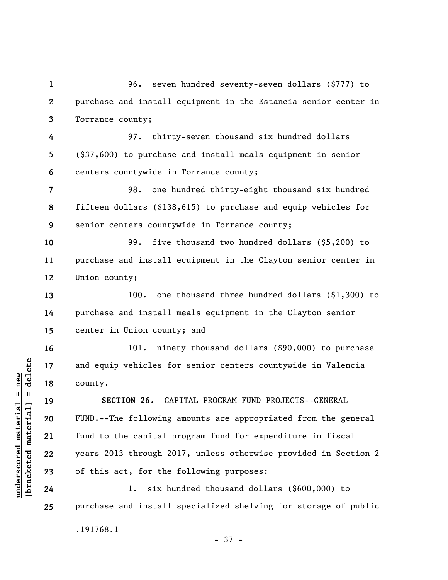**1 2 3 4 5 6 7 8 9 10 11 12 13 14 15 16 17 18 19 20 21 22 23 24 25**  96. seven hundred seventy-seven dollars (\$777) to purchase and install equipment in the Estancia senior center in Torrance county; 97. thirty-seven thousand six hundred dollars (\$37,600) to purchase and install meals equipment in senior centers countywide in Torrance county; 98. one hundred thirty-eight thousand six hundred fifteen dollars (\$138,615) to purchase and equip vehicles for senior centers countywide in Torrance county; 99. five thousand two hundred dollars (\$5,200) to purchase and install equipment in the Clayton senior center in Union county; 100. one thousand three hundred dollars (\$1,300) to purchase and install meals equipment in the Clayton senior center in Union county; and 101. ninety thousand dollars (\$90,000) to purchase and equip vehicles for senior centers countywide in Valencia county. **SECTION 26.** CAPITAL PROGRAM FUND PROJECTS--GENERAL FUND.--The following amounts are appropriated from the general fund to the capital program fund for expenditure in fiscal years 2013 through 2017, unless otherwise provided in Section 2 of this act, for the following purposes: 1. six hundred thousand dollars (\$600,000) to purchase and install specialized shelving for storage of public .191768.1

- 37 -

 $b$ racketed material] = delete **[bracketed material] = delete**  $underscored material = new$ **underscored material = new**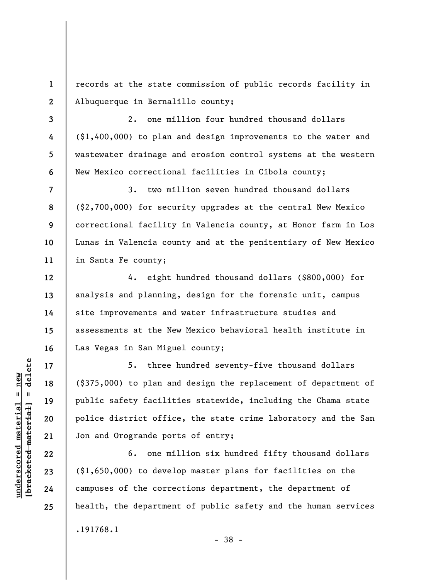**1 2**  records at the state commission of public records facility in Albuquerque in Bernalillo county;

2. one million four hundred thousand dollars (\$1,400,000) to plan and design improvements to the water and wastewater drainage and erosion control systems at the western New Mexico correctional facilities in Cibola county;

**7 8 9 10 11**  3. two million seven hundred thousand dollars (\$2,700,000) for security upgrades at the central New Mexico correctional facility in Valencia county, at Honor farm in Los Lunas in Valencia county and at the penitentiary of New Mexico in Santa Fe county;

4. eight hundred thousand dollars (\$800,000) for analysis and planning, design for the forensic unit, campus site improvements and water infrastructure studies and assessments at the New Mexico behavioral health institute in Las Vegas in San Miguel county;

5. three hundred seventy-five thousand dollars (\$375,000) to plan and design the replacement of department of public safety facilities statewide, including the Chama state police district office, the state crime laboratory and the San Jon and Orogrande ports of entry;

6. one million six hundred fifty thousand dollars (\$1,650,000) to develop master plans for facilities on the campuses of the corrections department, the department of health, the department of public safety and the human services .191768.1 - 38 -

 $\frac{1}{2}$  intereted material = delete **[bracketed material] = delete**  $underscored material = new$ **underscored material = new**

**3** 

**4** 

**5** 

**6** 

**12** 

**13** 

**14** 

**15** 

**16** 

**17** 

**18** 

**19** 

**20** 

**21** 

**22** 

**23** 

**24**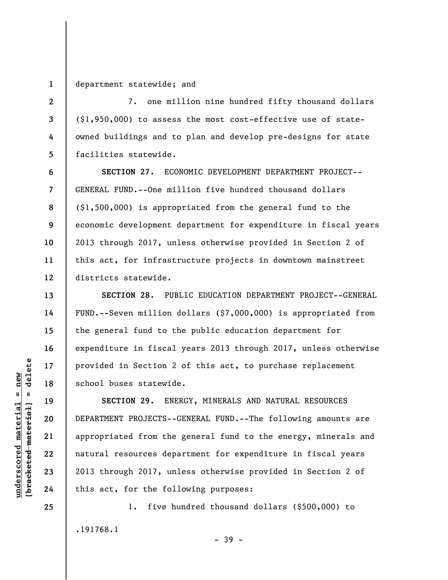**1**  department statewide; and

**2** 

**3** 

**4** 

**5** 

**6** 

**7** 

**8** 

**9** 

**10** 

**11** 

**12** 

**13** 

**14** 

**15** 

**16** 

**17** 

**18** 

**19** 

**20** 

**21** 

**22** 

**23** 

**24** 

**25** 

7. one million nine hundred fifty thousand dollars (\$1,950,000) to assess the most cost-effective use of stateowned buildings and to plan and develop pre-designs for state facilities statewide.

**SECTION 27.** ECONOMIC DEVELOPMENT DEPARTMENT PROJECT-- GENERAL FUND.--One million five hundred thousand dollars (\$1,500,000) is appropriated from the general fund to the economic development department for expenditure in fiscal years 2013 through 2017, unless otherwise provided in Section 2 of this act, for infrastructure projects in downtown mainstreet districts statewide.

**SECTION 28.** PUBLIC EDUCATION DEPARTMENT PROJECT--GENERAL FUND.--Seven million dollars (\$7,000,000) is appropriated from the general fund to the public education department for expenditure in fiscal years 2013 through 2017, unless otherwise provided in Section 2 of this act, to purchase replacement school buses statewide.

**SECTION 29.** ENERGY, MINERALS AND NATURAL RESOURCES DEPARTMENT PROJECTS--GENERAL FUND.--The following amounts are appropriated from the general fund to the energy, minerals and natural resources department for expenditure in fiscal years 2013 through 2017, unless otherwise provided in Section 2 of this act, for the following purposes:

1. five hundred thousand dollars (\$500,000) to .191768.1 - 39 -

 $\frac{1}{2}$  intereted material = delete **[bracketed material] = delete**  $underscored material = new$ **underscored material = new**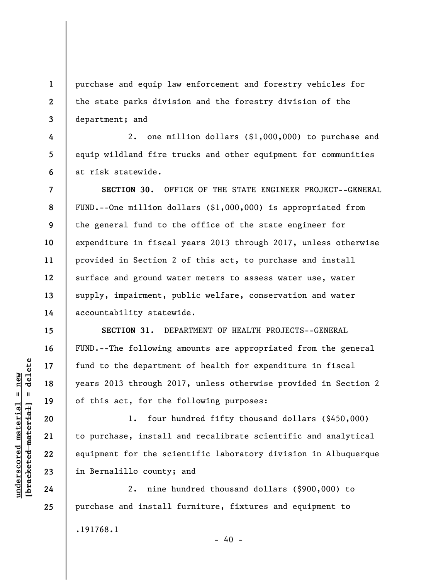**1 2 3**  purchase and equip law enforcement and forestry vehicles for the state parks division and the forestry division of the department; and

2. one million dollars (\$1,000,000) to purchase and equip wildland fire trucks and other equipment for communities at risk statewide.

**SECTION 30.** OFFICE OF THE STATE ENGINEER PROJECT--GENERAL FUND.--One million dollars (\$1,000,000) is appropriated from the general fund to the office of the state engineer for expenditure in fiscal years 2013 through 2017, unless otherwise provided in Section 2 of this act, to purchase and install surface and ground water meters to assess water use, water supply, impairment, public welfare, conservation and water accountability statewide.

**SECTION 31.** DEPARTMENT OF HEALTH PROJECTS--GENERAL FUND.--The following amounts are appropriated from the general fund to the department of health for expenditure in fiscal years 2013 through 2017, unless otherwise provided in Section 2 of this act, for the following purposes:

1. four hundred fifty thousand dollars (\$450,000) to purchase, install and recalibrate scientific and analytical equipment for the scientific laboratory division in Albuquerque in Bernalillo county; and

2. nine hundred thousand dollars (\$900,000) to purchase and install furniture, fixtures and equipment to .191768.1  $- 40 -$ 

 $\frac{1}{2}$  intereted material = delete **[bracketed material] = delete**  $underscored material = new$ **underscored material = new**

**4** 

**5** 

**6** 

**7** 

**8** 

**9** 

**10** 

**11** 

**12** 

**13** 

**14** 

**15** 

**16** 

**17** 

**18** 

**19** 

**20** 

**21** 

**22** 

**23** 

**24**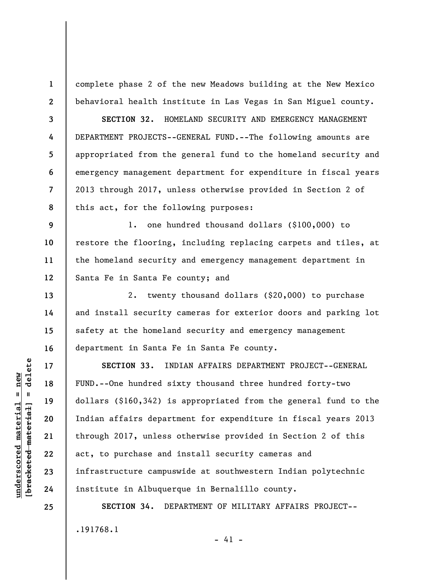complete phase 2 of the new Meadows building at the New Mexico behavioral health institute in Las Vegas in San Miguel county.

**8 SECTION 32.** HOMELAND SECURITY AND EMERGENCY MANAGEMENT DEPARTMENT PROJECTS--GENERAL FUND.--The following amounts are appropriated from the general fund to the homeland security and emergency management department for expenditure in fiscal years 2013 through 2017, unless otherwise provided in Section 2 of this act, for the following purposes:

**9 10 11 12**  1. one hundred thousand dollars (\$100,000) to restore the flooring, including replacing carpets and tiles, at the homeland security and emergency management department in Santa Fe in Santa Fe county; and

2. twenty thousand dollars (\$20,000) to purchase and install security cameras for exterior doors and parking lot safety at the homeland security and emergency management department in Santa Fe in Santa Fe county.

**SECTION 33.** INDIAN AFFAIRS DEPARTMENT PROJECT--GENERAL FUND.--One hundred sixty thousand three hundred forty-two dollars (\$160,342) is appropriated from the general fund to the Indian affairs department for expenditure in fiscal years 2013 through 2017, unless otherwise provided in Section 2 of this act, to purchase and install security cameras and infrastructure campuswide at southwestern Indian polytechnic institute in Albuquerque in Bernalillo county.

**SECTION 34.** DEPARTMENT OF MILITARY AFFAIRS PROJECT-- .191768.1  $- 41 -$ 

 $\frac{1}{2}$  intereted material = delete **[bracketed material] = delete**  $underscored material = new$ **underscored material = new**

**1** 

**2** 

**3** 

**4** 

**5** 

**6** 

**7** 

**13** 

**14** 

**15** 

**16** 

**17** 

**18** 

**19** 

**20** 

**21** 

**22** 

**23** 

**24**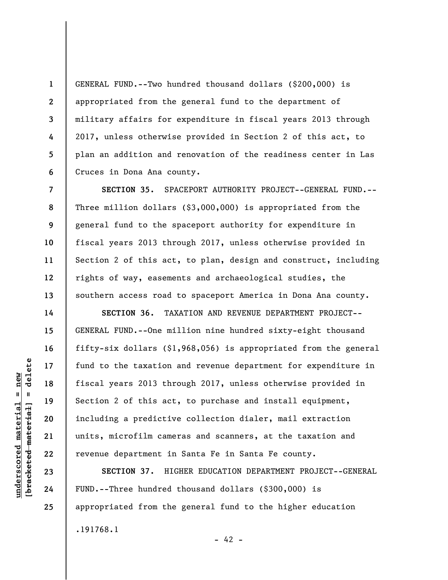GENERAL FUND.--Two hundred thousand dollars (\$200,000) is appropriated from the general fund to the department of military affairs for expenditure in fiscal years 2013 through 2017, unless otherwise provided in Section 2 of this act, to plan an addition and renovation of the readiness center in Las Cruces in Dona Ana county.

**SECTION 35.** SPACEPORT AUTHORITY PROJECT--GENERAL FUND.-- Three million dollars (\$3,000,000) is appropriated from the general fund to the spaceport authority for expenditure in fiscal years 2013 through 2017, unless otherwise provided in Section 2 of this act, to plan, design and construct, including rights of way, easements and archaeological studies, the southern access road to spaceport America in Dona Ana county.

**SECTION 36.** TAXATION AND REVENUE DEPARTMENT PROJECT-- GENERAL FUND.--One million nine hundred sixty-eight thousand fifty-six dollars (\$1,968,056) is appropriated from the general fund to the taxation and revenue department for expenditure in fiscal years 2013 through 2017, unless otherwise provided in Section 2 of this act, to purchase and install equipment, including a predictive collection dialer, mail extraction units, microfilm cameras and scanners, at the taxation and revenue department in Santa Fe in Santa Fe county.

**SECTION 37.** HIGHER EDUCATION DEPARTMENT PROJECT--GENERAL FUND.--Three hundred thousand dollars (\$300,000) is appropriated from the general fund to the higher education .191768.1

**1** 

**2** 

**3** 

**4** 

**5** 

**6** 

**7** 

**8** 

**9** 

**10** 

**11** 

**12** 

**13** 

**14** 

**15** 

**16** 

**17** 

**18** 

**19** 

**20** 

**21** 

**22** 

**23** 

**24** 

**25** 

 $- 42 -$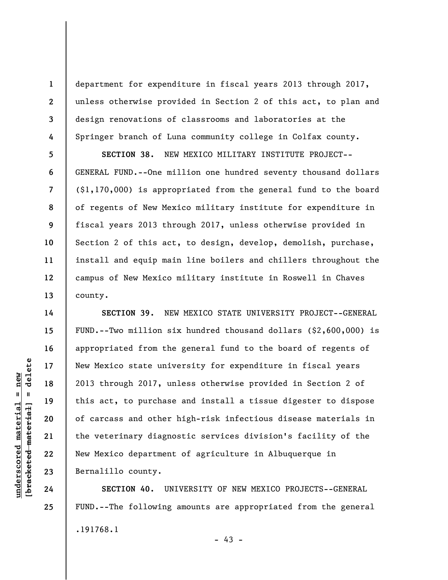department for expenditure in fiscal years 2013 through 2017, unless otherwise provided in Section 2 of this act, to plan and design renovations of classrooms and laboratories at the Springer branch of Luna community college in Colfax county.

**SECTION 38.** NEW MEXICO MILITARY INSTITUTE PROJECT-- GENERAL FUND.--One million one hundred seventy thousand dollars (\$1,170,000) is appropriated from the general fund to the board of regents of New Mexico military institute for expenditure in fiscal years 2013 through 2017, unless otherwise provided in Section 2 of this act, to design, develop, demolish, purchase, install and equip main line boilers and chillers throughout the campus of New Mexico military institute in Roswell in Chaves county.

**SECTION 39.** NEW MEXICO STATE UNIVERSITY PROJECT--GENERAL FUND.--Two million six hundred thousand dollars (\$2,600,000) is appropriated from the general fund to the board of regents of New Mexico state university for expenditure in fiscal years 2013 through 2017, unless otherwise provided in Section 2 of this act, to purchase and install a tissue digester to dispose of carcass and other high-risk infectious disease materials in the veterinary diagnostic services division's facility of the New Mexico department of agriculture in Albuquerque in Bernalillo county.

**SECTION 40.** UNIVERSITY OF NEW MEXICO PROJECTS--GENERAL FUND.--The following amounts are appropriated from the general .191768.1

 $\frac{1}{2}$  intereted material = delete **[bracketed material] = delete**  $underscored material = new$ **underscored material = new**

**1** 

**2** 

**3** 

**4** 

**5** 

**6** 

**7** 

**8** 

**9** 

**10** 

**11** 

**12** 

**13** 

**14** 

**15** 

**16** 

**17** 

**18** 

**19** 

**20** 

**21** 

**22** 

**23** 

**24** 

**25** 

 $- 43 -$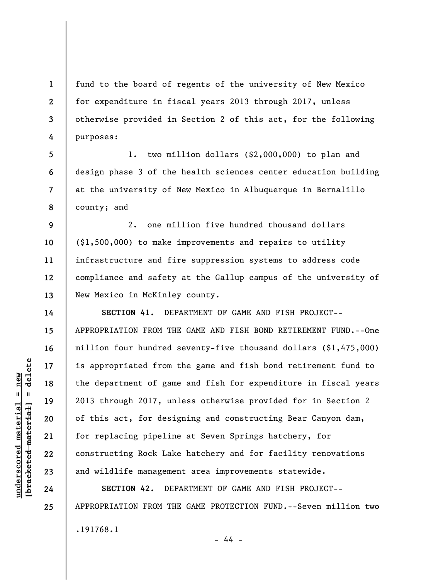fund to the board of regents of the university of New Mexico for expenditure in fiscal years 2013 through 2017, unless otherwise provided in Section 2 of this act, for the following purposes:

1. two million dollars (\$2,000,000) to plan and design phase 3 of the health sciences center education building at the university of New Mexico in Albuquerque in Bernalillo county; and

**9 10 11 12 13**  2. one million five hundred thousand dollars (\$1,500,000) to make improvements and repairs to utility infrastructure and fire suppression systems to address code compliance and safety at the Gallup campus of the university of New Mexico in McKinley county.

**SECTION 41.** DEPARTMENT OF GAME AND FISH PROJECT-- APPROPRIATION FROM THE GAME AND FISH BOND RETIREMENT FUND.--One million four hundred seventy-five thousand dollars (\$1,475,000) is appropriated from the game and fish bond retirement fund to the department of game and fish for expenditure in fiscal years 2013 through 2017, unless otherwise provided for in Section 2 of this act, for designing and constructing Bear Canyon dam, for replacing pipeline at Seven Springs hatchery, for constructing Rock Lake hatchery and for facility renovations and wildlife management area improvements statewide.

**SECTION 42.** DEPARTMENT OF GAME AND FISH PROJECT-- APPROPRIATION FROM THE GAME PROTECTION FUND.--Seven million two .191768.1 - 44 -

 $\frac{1}{2}$  intereted material = delete **[bracketed material] = delete**  $underscored material = new$ **underscored material = new**

**1** 

**2** 

**3** 

**4** 

**5** 

**6** 

**7** 

**8** 

**14** 

**15** 

**16** 

**17** 

**18** 

**19** 

**20** 

**21** 

**22** 

**23** 

**24**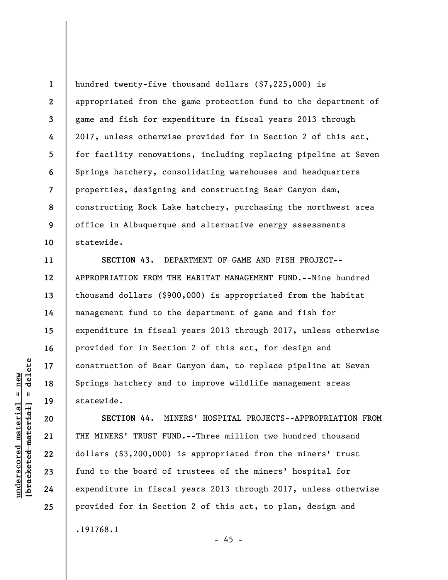**1 2 3 4 5 6 7 8 9 10**  hundred twenty-five thousand dollars (\$7,225,000) is appropriated from the game protection fund to the department of game and fish for expenditure in fiscal years 2013 through 2017, unless otherwise provided for in Section 2 of this act, for facility renovations, including replacing pipeline at Seven Springs hatchery, consolidating warehouses and headquarters properties, designing and constructing Bear Canyon dam, constructing Rock Lake hatchery, purchasing the northwest area office in Albuquerque and alternative energy assessments statewide.

**SECTION 43.** DEPARTMENT OF GAME AND FISH PROJECT-- APPROPRIATION FROM THE HABITAT MANAGEMENT FUND.--Nine hundred thousand dollars (\$900,000) is appropriated from the habitat management fund to the department of game and fish for expenditure in fiscal years 2013 through 2017, unless otherwise provided for in Section 2 of this act, for design and construction of Bear Canyon dam, to replace pipeline at Seven Springs hatchery and to improve wildlife management areas statewide.

**SECTION 44.** MINERS' HOSPITAL PROJECTS--APPROPRIATION FROM THE MINERS' TRUST FUND.--Three million two hundred thousand dollars (\$3,200,000) is appropriated from the miners' trust fund to the board of trustees of the miners' hospital for expenditure in fiscal years 2013 through 2017, unless otherwise provided for in Section 2 of this act, to plan, design and .191768.1

delete **[bracketed material] = delete**  $underscored material = new$ **underscored material = new**  $\frac{1}{2}$ 

**11** 

**12** 

**13** 

**14** 

**15** 

**16** 

**17** 

**18** 

**19** 

**20** 

**21** 

**22** 

**23** 

**24** 

```
- 45 -
```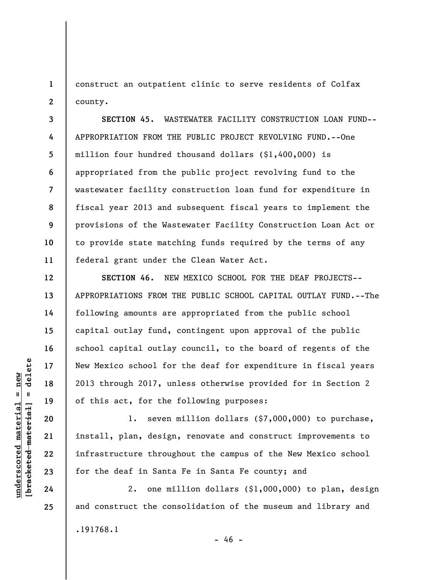**1 2**  construct an outpatient clinic to serve residents of Colfax county.

**3 4 5 6 7 8 9 10 11 SECTION 45.** WASTEWATER FACILITY CONSTRUCTION LOAN FUND-- APPROPRIATION FROM THE PUBLIC PROJECT REVOLVING FUND.--One million four hundred thousand dollars (\$1,400,000) is appropriated from the public project revolving fund to the wastewater facility construction loan fund for expenditure in fiscal year 2013 and subsequent fiscal years to implement the provisions of the Wastewater Facility Construction Loan Act or to provide state matching funds required by the terms of any federal grant under the Clean Water Act.

**SECTION 46.** NEW MEXICO SCHOOL FOR THE DEAF PROJECTS-- APPROPRIATIONS FROM THE PUBLIC SCHOOL CAPITAL OUTLAY FUND.--The following amounts are appropriated from the public school capital outlay fund, contingent upon approval of the public school capital outlay council, to the board of regents of the New Mexico school for the deaf for expenditure in fiscal years 2013 through 2017, unless otherwise provided for in Section 2 of this act, for the following purposes:

1. seven million dollars (\$7,000,000) to purchase, install, plan, design, renovate and construct improvements to infrastructure throughout the campus of the New Mexico school for the deaf in Santa Fe in Santa Fe county; and

2. one million dollars (\$1,000,000) to plan, design and construct the consolidation of the museum and library and .191768.1  $- 46 -$ 

 $\frac{1}{2}$  intereted material = delete **[bracketed material] = delete**  $underscored material = new$ **underscored material = new**

**12** 

**13** 

**14** 

**15** 

**16** 

**17** 

**18** 

**19** 

**20** 

**21** 

**22** 

**23** 

**24**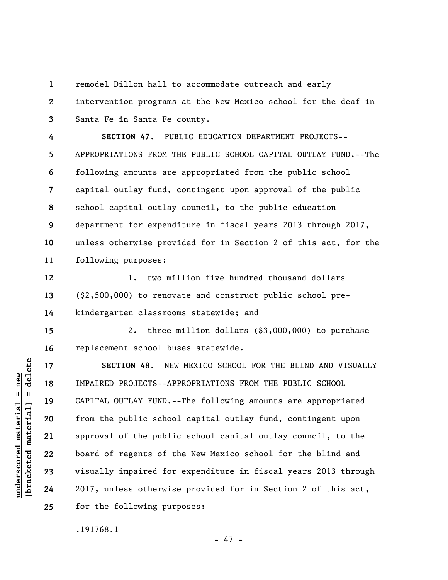remodel Dillon hall to accommodate outreach and early intervention programs at the New Mexico school for the deaf in Santa Fe in Santa Fe county.

**7 8 9 10 11 SECTION 47.** PUBLIC EDUCATION DEPARTMENT PROJECTS-- APPROPRIATIONS FROM THE PUBLIC SCHOOL CAPITAL OUTLAY FUND.--The following amounts are appropriated from the public school capital outlay fund, contingent upon approval of the public school capital outlay council, to the public education department for expenditure in fiscal years 2013 through 2017, unless otherwise provided for in Section 2 of this act, for the following purposes:

1. two million five hundred thousand dollars (\$2,500,000) to renovate and construct public school prekindergarten classrooms statewide; and

2. three million dollars (\$3,000,000) to purchase replacement school buses statewide.

**SECTION 48.** NEW MEXICO SCHOOL FOR THE BLIND AND VISUALLY IMPAIRED PROJECTS--APPROPRIATIONS FROM THE PUBLIC SCHOOL CAPITAL OUTLAY FUND.--The following amounts are appropriated from the public school capital outlay fund, contingent upon approval of the public school capital outlay council, to the board of regents of the New Mexico school for the blind and visually impaired for expenditure in fiscal years 2013 through 2017, unless otherwise provided for in Section 2 of this act, for the following purposes:

 $- 47 -$ 

.191768.1

 $\frac{1}{2}$  intereted material = delete **[bracketed material] = delete**  $underscored material = new$ **underscored material = new**

**1** 

**2** 

**3** 

**4** 

**5** 

**6** 

**12** 

**13** 

**14** 

**15** 

**16** 

**17** 

**18** 

**19** 

**20** 

**21** 

**22** 

**23** 

**24**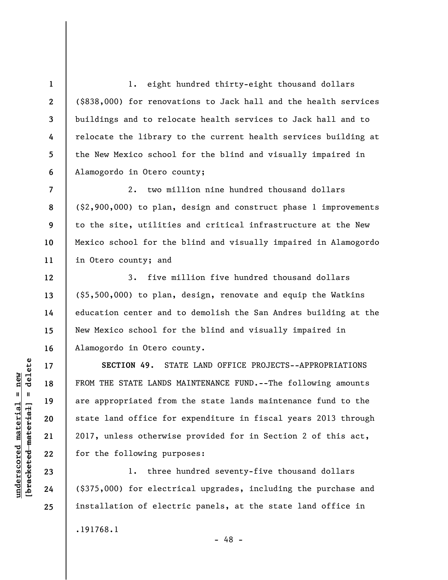1. eight hundred thirty-eight thousand dollars (\$838,000) for renovations to Jack hall and the health services buildings and to relocate health services to Jack hall and to relocate the library to the current health services building at the New Mexico school for the blind and visually impaired in Alamogordo in Otero county;

2. two million nine hundred thousand dollars (\$2,900,000) to plan, design and construct phase 1 improvements to the site, utilities and critical infrastructure at the New Mexico school for the blind and visually impaired in Alamogordo in Otero county; and

3. five million five hundred thousand dollars (\$5,500,000) to plan, design, renovate and equip the Watkins education center and to demolish the San Andres building at the New Mexico school for the blind and visually impaired in Alamogordo in Otero county.

**SECTION 49.** STATE LAND OFFICE PROJECTS--APPROPRIATIONS FROM THE STATE LANDS MAINTENANCE FUND.--The following amounts are appropriated from the state lands maintenance fund to the state land office for expenditure in fiscal years 2013 through 2017, unless otherwise provided for in Section 2 of this act, for the following purposes:

1. three hundred seventy-five thousand dollars (\$375,000) for electrical upgrades, including the purchase and installation of electric panels, at the state land office in

- 48 -

.191768.1

 $\frac{1}{2}$  of  $\frac{1}{2}$  and  $\frac{1}{2}$  and  $\frac{1}{2}$  and  $\frac{1}{2}$  and  $\frac{1}{2}$  and  $\frac{1}{2}$  and  $\frac{1}{2}$  and  $\frac{1}{2}$  and  $\frac{1}{2}$  and  $\frac{1}{2}$  and  $\frac{1}{2}$  and  $\frac{1}{2}$  and  $\frac{1}{2}$  and  $\frac{1}{2}$  and  $\frac{1}{2}$  an **[bracketed material] = delete**  $underscored material = new$ **underscored material = new**

**1** 

**2** 

**3** 

**4** 

**5** 

**6** 

**7** 

**8** 

**9** 

**10** 

**11** 

**12** 

**13** 

**14** 

**15** 

**16** 

**17** 

**18** 

**19** 

**20** 

**21** 

**22** 

**23** 

**24**